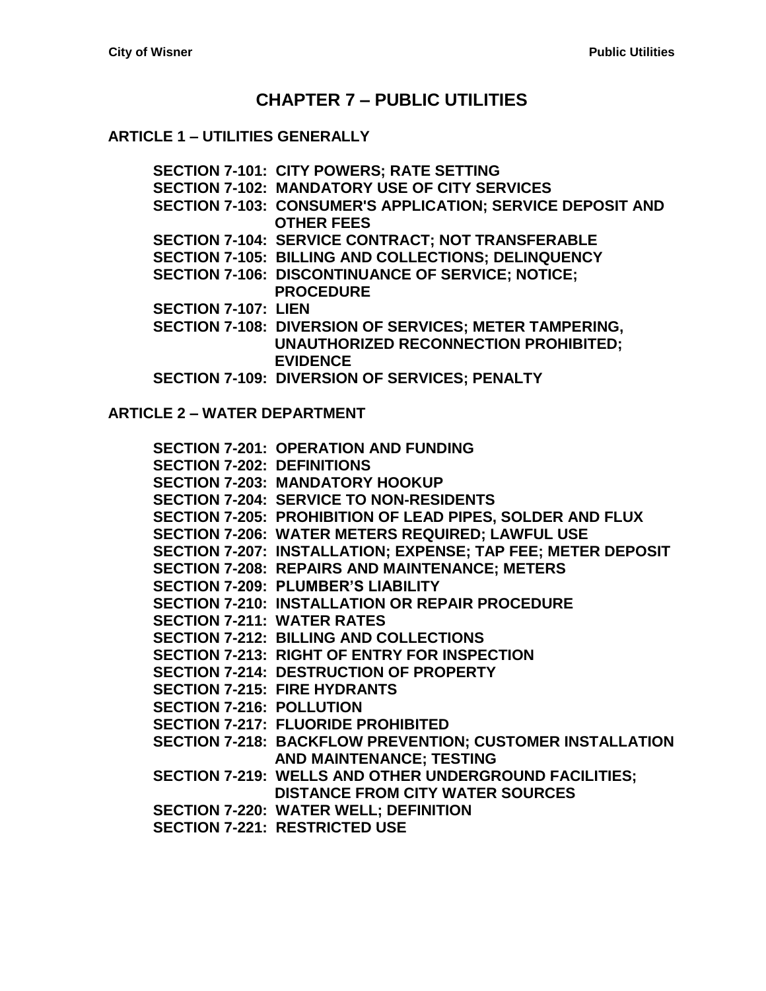# **CHAPTER 7 – [PUBLIC UTILITIES](#page-4-0)**

#### **ARTICLE 1 – [UTILITIES GENERALLY](#page-4-1)**

**[SECTION 7-101: CITY POWERS; RATE SETTING](#page-4-2)**

- **[SECTION 7-102: MANDATORY USE OF CITY SERVICES](#page-4-3)**
- **[SECTION 7-103: CONSUMER'S APPLICATION; SERVICE DEPOSIT AND](#page-4-4)  [OTHER FEES](#page-4-4)**
- **[SECTION 7-104: SERVICE CONTRACT; NOT TRANSFERABLE](#page-5-0)**
- **[SECTION 7-105: BILLING AND COLLECTIONS; DELINQUENCY](#page-5-1)**
- **[SECTION 7-106: DISCONTINUANCE](#page-6-0) OF SERVICE; NOTICE; [PROCEDURE](#page-6-0)**
- **[SECTION 7-107: LIEN](#page-6-1)**
- **[SECTION 7-108: DIVERSION OF SERVICES; METER TAMPERING,](#page-7-0)  [UNAUTHORIZED RECONNECTION PROHIBITED;](#page-7-0)  [EVIDENCE](#page-7-0)**
- **[SECTION 7-109: DIVERSION OF SERVICES; PENALTY](#page-7-1)**

**ARTICLE 2 – [WATER DEPARTMENT](#page-10-0)**

**[SECTION 7-201: OPERATION AND FUNDING](#page-10-1) [SECTION 7-202: DEFINITIONS](#page-10-2) [SECTION 7-203: MANDATORY HOOKUP](#page-10-3) [SECTION 7-204: SERVICE TO NON-RESIDENTS](#page-11-0) [SECTION 7-205: PROHIBITION OF](#page-11-1) LEAD PIPES, SOLDER AND FLUX [SECTION 7-206: WATER METERS REQUIRED; LAWFUL USE](#page-11-2) [SECTION 7-207: INSTALLATION; EXPENSE; TAP FEE; METER DEPOSIT](#page-11-3) [SECTION 7-208: REPAIRS AND MAINTENANCE; METERS](#page-12-0) [SECTION 7-209: PLUMBER'S LIABILITY](#page-12-1) [SECTION 7-210: INSTALLATION OR REPAIR PROCEDURE](#page-13-0) [SECTION 7-211: WATER RATES](#page-13-1) [SECTION 7-212: BILLING AND COLLECTIONS](#page-13-2) [SECTION 7-213: RIGHT OF ENTRY FOR INSPECTION](#page-13-3) [SECTION 7-214: DESTRUCTION OF](#page-14-0) PROPERTY [SECTION 7-215: FIRE HYDRANTS](#page-14-1) [SECTION 7-216: POLLUTION](#page-14-2) [SECTION 7-217: FLUORIDE PROHIBITED](#page-14-3) [SECTION 7-218: BACKFLOW PREVENTION; CUSTOMER INSTALLATION](#page-14-4)  [AND MAINTENANCE; TESTING](#page-14-4) [SECTION 7-219: WELLS AND OTHER UNDERGROUND FACILITIES;](#page-15-0)  [DISTANCE FROM CITY WATER SOURCES](#page-15-0) [SECTION 7-220: WATER WELL; DEFINITION](#page-16-0) [SECTION 7-221: RESTRICTED USE](#page-16-1)**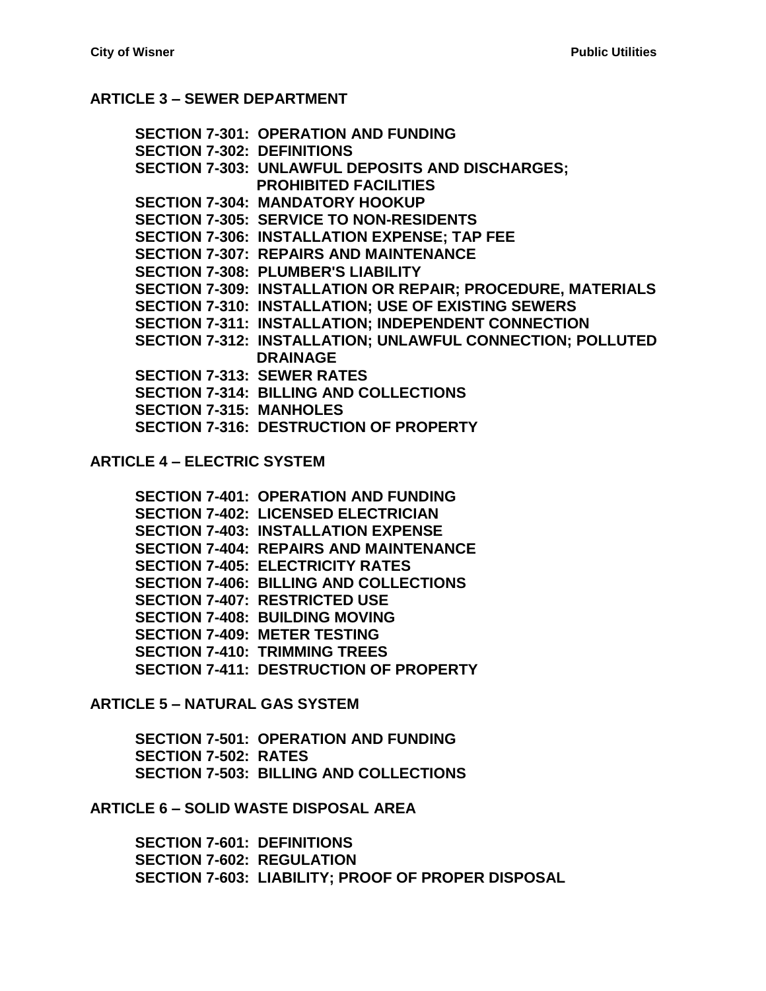#### **ARTICLE 3 – [SEWER DEPARTMENT](#page-18-0)**

**[SECTION 7-301: OPERATION AND FUNDING](#page-18-1) [SECTION 7-302: DEFINITIONS](#page-18-2) [SECTION 7-303: UNLAWFUL DEPOSITS AND DISCHARGES;](#page-19-0)  [PROHIBITED FACILITIES](#page-19-0) [SECTION 7-304: MANDATORY HOOKUP](#page-20-0) [SECTION 7-305: SERVICE TO NON-RESIDENTS](#page-20-1) [SECTION 7-306: INSTALLATION EXPENSE; TAP FEE](#page-20-2) [SECTION 7-307: REPAIRS AND MAINTENANCE](#page-22-0) [SECTION 7-308: PLUMBER'S LIABILITY](#page-22-1) [SECTION 7-309: INSTALLATION OR REPAIR; PROCEDURE,](#page-22-2) MATERIALS [SECTION 7-310: INSTALLATION; USE OF EXISTING SEWERS](#page-23-0) [SECTION 7-311: INSTALLATION; INDEPENDENT CONNECTION](#page-23-1) [SECTION 7-312: INSTALLATION; UNLAWFUL CONNECTION;](#page-23-2) POLLUTED [DRAINAGE](#page-23-2) [SECTION 7-313: SEWER RATES](#page-23-3) [SECTION 7-314: BILLING AND COLLECTIONS](#page-23-4) [SECTION 7-315: MANHOLES](#page-23-5) [SECTION 7-316: DESTRUCTION OF](#page-24-0) PROPERTY**

**ARTICLE 4 – [ELECTRIC SYSTEM](#page-26-0)**

**[SECTION 7-401: OPERATION AND FUNDING](#page-26-1) [SECTION 7-402: LICENSED ELECTRICIAN](#page-26-2) [SECTION 7-403: INSTALLATION EXPENSE](#page-26-3) [SECTION 7-404: REPAIRS AND MAINTENANCE](#page-26-4) [SECTION 7-405: ELECTRICITY RATES](#page-27-0) [SECTION 7-406: BILLING AND COLLECTIONS](#page-27-1) [SECTION 7-407: RESTRICTED USE](#page-27-2) [SECTION 7-408: BUILDING MOVING](#page-28-0) [SECTION 7-409: METER TESTING](#page-28-1) [SECTION 7-410: TRIMMING TREES](#page-28-2) [SECTION 7-411: DESTRUCTION OF](#page-28-3) PROPERTY**

**ARTICLE 5 – [NATURAL GAS SYSTEM](#page-30-0)**

**[SECTION 7-501: OPERATION AND FUNDING](#page-30-1) [SECTION 7-502: RATES](#page-30-2) [SECTION 7-503: BILLING AND COLLECTIONS](#page-31-0)**

**ARTICLE 6 – [SOLID WASTE DISPOSAL](#page-32-0) AREA**

**[SECTION 7-601: DEFINITIONS](#page-32-1) [SECTION 7-602: REGULATION](#page-32-2) [SECTION 7-603: LIABILITY; PROOF OF PROPER DISPOSAL](#page-32-3)**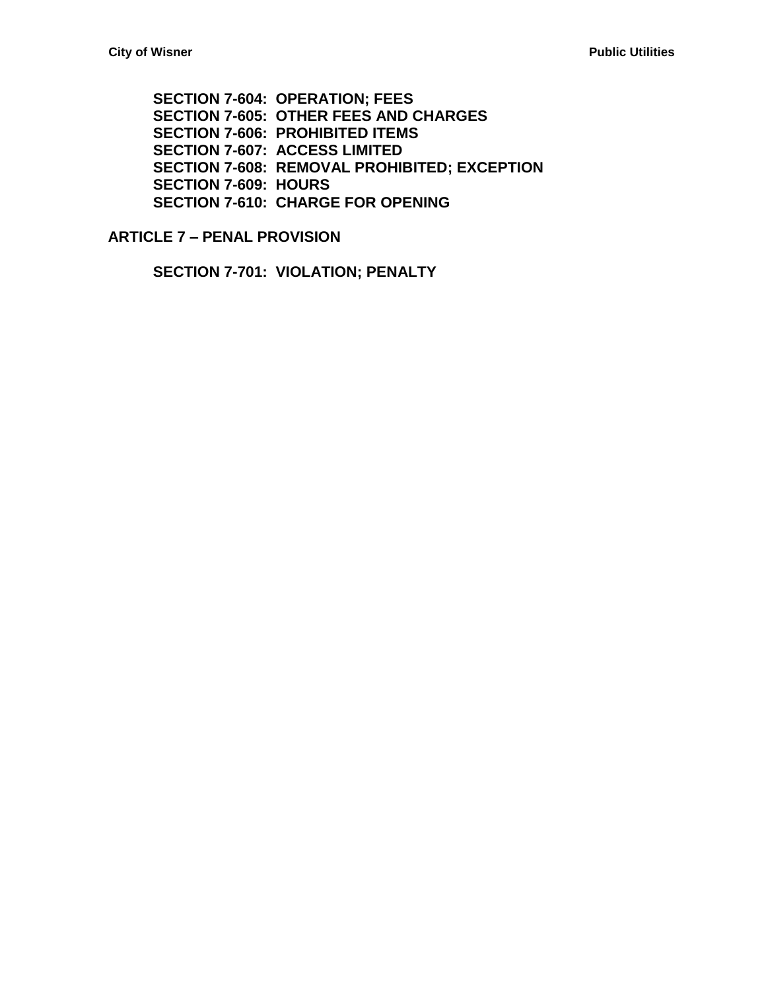**[SECTION 7-604: OPERATION; FEES](#page-32-4) [SECTION 7-605: OTHER FEES AND](#page-33-0) CHARGES [SECTION 7-606: PROHIBITED ITEMS](#page-33-1) [SECTION 7-607: ACCESS LIMITED](#page-34-0) [SECTION 7-608: REMOVAL PROHIBITED; EXCEPTION](#page-34-1) [SECTION 7-609: HOURS](#page-34-2) [SECTION 7-610: CHARGE FOR OPENING](#page-35-0)**

**ARTICLE 7 – [PENAL PROVISION](#page-36-0)**

**[SECTION 7-701: VIOLATION; PENALTY](#page-36-1)**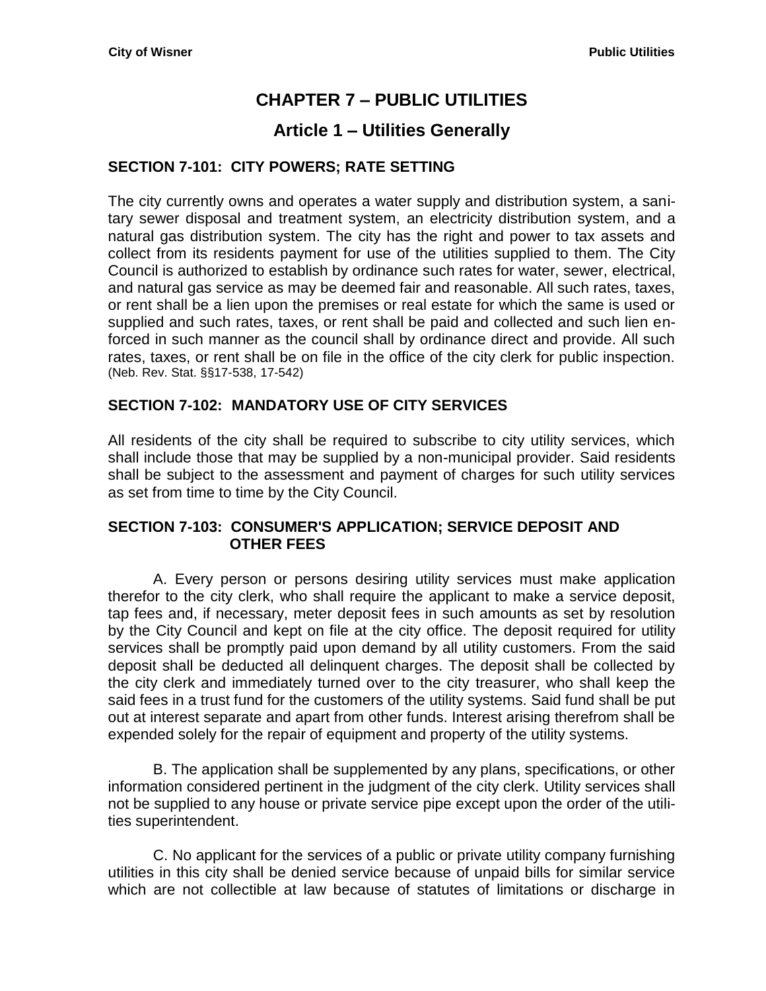# **CHAPTER 7 – PUBLIC UTILITIES**

# **Article 1 – Utilities Generally**

### <span id="page-4-2"></span><span id="page-4-1"></span><span id="page-4-0"></span>**SECTION 7-101: CITY POWERS; RATE SETTING**

The city currently owns and operates a water supply and distribution system, a sanitary sewer disposal and treatment system, an electricity distribution system, and a natural gas distribution system. The city has the right and power to tax assets and collect from its residents payment for use of the utilities supplied to them. The City Council is authorized to establish by ordinance such rates for water, sewer, electrical, and natural gas service as may be deemed fair and reasonable. All such rates, taxes, or rent shall be a lien upon the premises or real estate for which the same is used or supplied and such rates, taxes, or rent shall be paid and collected and such lien enforced in such manner as the council shall by ordinance direct and provide. All such rates, taxes, or rent shall be on file in the office of the city clerk for public inspection. (Neb. Rev. Stat. §§17-538, 17-542)

## <span id="page-4-3"></span>**SECTION 7-102: MANDATORY USE OF CITY SERVICES**

All residents of the city shall be required to subscribe to city utility services, which shall include those that may be supplied by a non-municipal provider. Said residents shall be subject to the assessment and payment of charges for such utility services as set from time to time by the City Council.

#### <span id="page-4-4"></span>**SECTION 7-103: CONSUMER'S APPLICATION; SERVICE DEPOSIT AND OTHER FEES**

A. Every person or persons desiring utility services must make application therefor to the city clerk, who shall require the applicant to make a service deposit, tap fees and, if necessary, meter deposit fees in such amounts as set by resolution by the City Council and kept on file at the city office. The deposit required for utility services shall be promptly paid upon demand by all utility customers. From the said deposit shall be deducted all delinquent charges. The deposit shall be collected by the city clerk and immediately turned over to the city treasurer, who shall keep the said fees in a trust fund for the customers of the utility systems. Said fund shall be put out at interest separate and apart from other funds. Interest arising therefrom shall be expended solely for the repair of equipment and property of the utility systems.

B. The application shall be supplemented by any plans, specifications, or other information considered pertinent in the judgment of the city clerk. Utility services shall not be supplied to any house or private service pipe except upon the order of the utilities superintendent.

C. No applicant for the services of a public or private utility company furnishing utilities in this city shall be denied service because of unpaid bills for similar service which are not collectible at law because of statutes of limitations or discharge in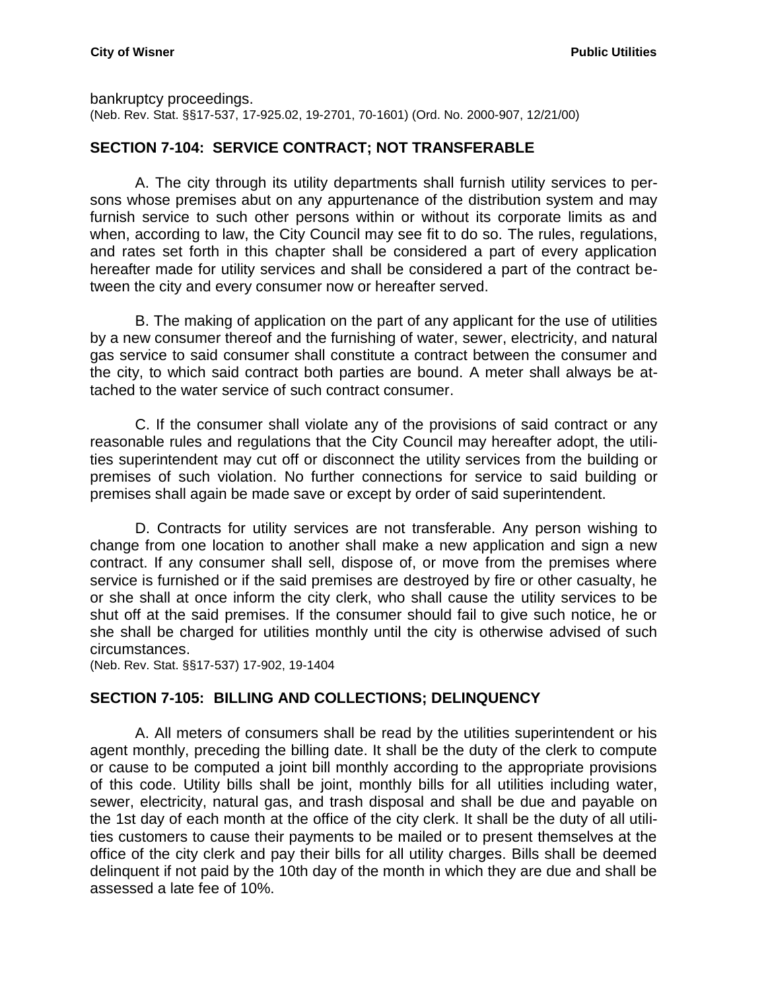bankruptcy proceedings.

(Neb. Rev. Stat. §§17-537, 17-925.02, 19-2701, 70-1601) (Ord. No. 2000-907, 12/21/00)

## <span id="page-5-0"></span>**SECTION 7-104: SERVICE CONTRACT; NOT TRANSFERABLE**

A. The city through its utility departments shall furnish utility services to persons whose premises abut on any appurtenance of the distribution system and may furnish service to such other persons within or without its corporate limits as and when, according to law, the City Council may see fit to do so. The rules, regulations, and rates set forth in this chapter shall be considered a part of every application hereafter made for utility services and shall be considered a part of the contract between the city and every consumer now or hereafter served.

B. The making of application on the part of any applicant for the use of utilities by a new consumer thereof and the furnishing of water, sewer, electricity, and natural gas service to said consumer shall constitute a contract between the consumer and the city, to which said contract both parties are bound. A meter shall always be attached to the water service of such contract consumer.

C. If the consumer shall violate any of the provisions of said contract or any reasonable rules and regulations that the City Council may hereafter adopt, the utilities superintendent may cut off or disconnect the utility services from the building or premises of such violation. No further connections for service to said building or premises shall again be made save or except by order of said superintendent.

D. Contracts for utility services are not transferable. Any person wishing to change from one location to another shall make a new application and sign a new contract. If any consumer shall sell, dispose of, or move from the premises where service is furnished or if the said premises are destroyed by fire or other casualty, he or she shall at once inform the city clerk, who shall cause the utility services to be shut off at the said premises. If the consumer should fail to give such notice, he or she shall be charged for utilities monthly until the city is otherwise advised of such circumstances.

(Neb. Rev. Stat. §§17-537) 17-902, 19-1404

#### <span id="page-5-1"></span>**SECTION 7-105: BILLING AND COLLECTIONS; DELINQUENCY**

A. All meters of consumers shall be read by the utilities superintendent or his agent monthly, preceding the billing date. It shall be the duty of the clerk to compute or cause to be computed a joint bill monthly according to the appropriate provisions of this code. Utility bills shall be joint, monthly bills for all utilities including water, sewer, electricity, natural gas, and trash disposal and shall be due and payable on the 1st day of each month at the office of the city clerk. It shall be the duty of all utilities customers to cause their payments to be mailed or to present themselves at the office of the city clerk and pay their bills for all utility charges. Bills shall be deemed delinquent if not paid by the 10th day of the month in which they are due and shall be assessed a late fee of 10%.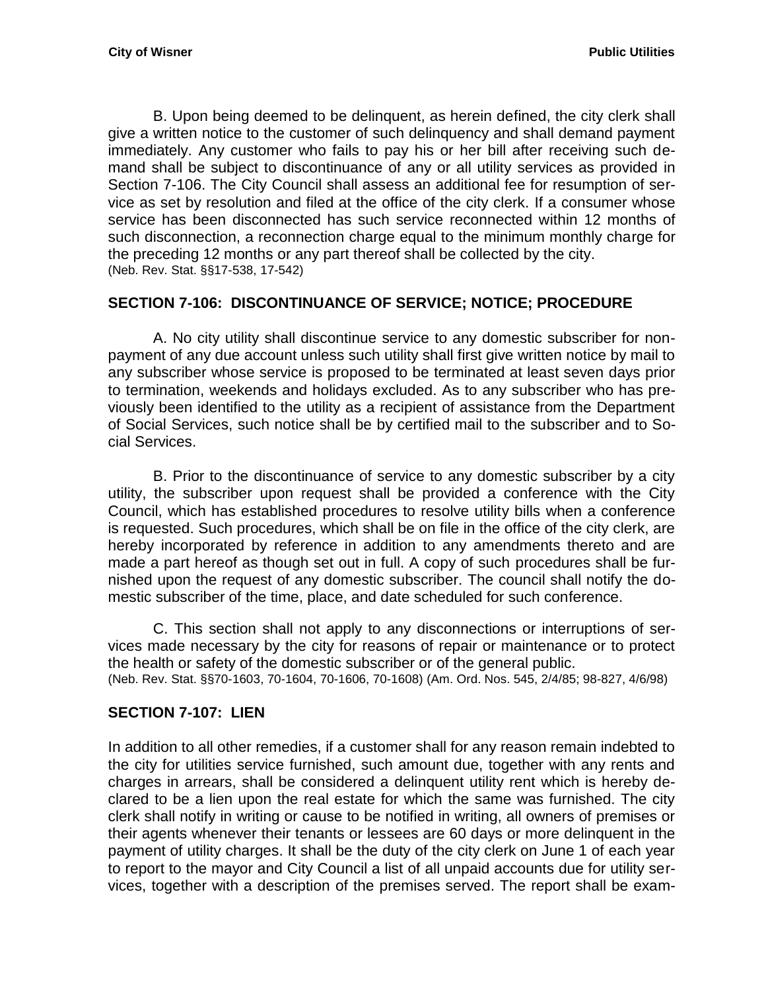B. Upon being deemed to be delinquent, as herein defined, the city clerk shall give a written notice to the customer of such delinquency and shall demand payment immediately. Any customer who fails to pay his or her bill after receiving such demand shall be subject to discontinuance of any or all utility services as provided in Section 7-106. The City Council shall assess an additional fee for resumption of service as set by resolution and filed at the office of the city clerk. If a consumer whose service has been disconnected has such service reconnected within 12 months of such disconnection, a reconnection charge equal to the minimum monthly charge for the preceding 12 months or any part thereof shall be collected by the city. (Neb. Rev. Stat. §§17-538, 17-542)

## <span id="page-6-0"></span>**SECTION 7-106: DISCONTINUANCE OF SERVICE; NOTICE; PROCEDURE**

A. No city utility shall discontinue service to any domestic subscriber for nonpayment of any due account unless such utility shall first give written notice by mail to any subscriber whose service is proposed to be terminated at least seven days prior to termination, weekends and holidays excluded. As to any subscriber who has previously been identified to the utility as a recipient of assistance from the Department of Social Services, such notice shall be by certified mail to the subscriber and to Social Services.

B. Prior to the discontinuance of service to any domestic subscriber by a city utility, the subscriber upon request shall be provided a conference with the City Council, which has established procedures to resolve utility bills when a conference is requested. Such procedures, which shall be on file in the office of the city clerk, are hereby incorporated by reference in addition to any amendments thereto and are made a part hereof as though set out in full. A copy of such procedures shall be furnished upon the request of any domestic subscriber. The council shall notify the domestic subscriber of the time, place, and date scheduled for such conference.

C. This section shall not apply to any disconnections or interruptions of services made necessary by the city for reasons of repair or maintenance or to protect the health or safety of the domestic subscriber or of the general public. (Neb. Rev. Stat. §§70-1603, 70-1604, 70-1606, 70-1608) (Am. Ord. Nos. 545, 2/4/85; 98-827, 4/6/98)

#### <span id="page-6-1"></span>**SECTION 7-107: LIEN**

In addition to all other remedies, if a customer shall for any reason remain indebted to the city for utilities service furnished, such amount due, together with any rents and charges in arrears, shall be considered a delinquent utility rent which is hereby declared to be a lien upon the real estate for which the same was furnished. The city clerk shall notify in writing or cause to be notified in writing, all owners of premises or their agents whenever their tenants or lessees are 60 days or more delinquent in the payment of utility charges. It shall be the duty of the city clerk on June 1 of each year to report to the mayor and City Council a list of all unpaid accounts due for utility services, together with a description of the premises served. The report shall be exam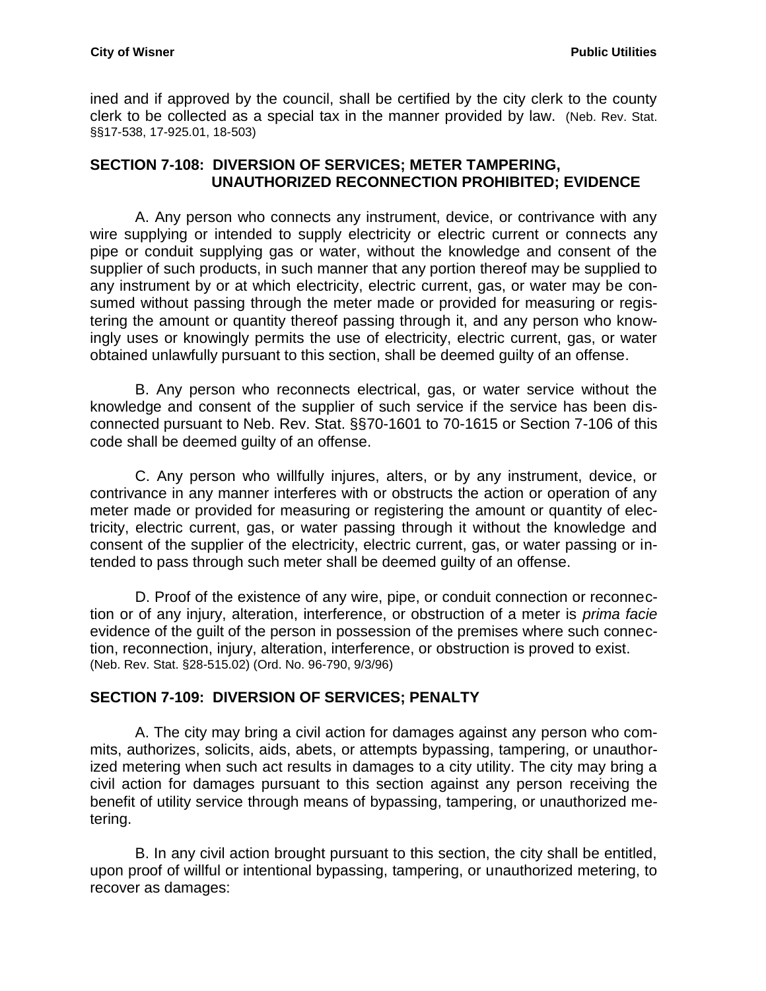ined and if approved by the council, shall be certified by the city clerk to the county clerk to be collected as a special tax in the manner provided by law. (Neb. Rev. Stat. §§17-538, 17-925.01, 18-503)

#### <span id="page-7-0"></span>**SECTION 7-108: DIVERSION OF SERVICES; METER TAMPERING, UNAUTHORIZED RECONNECTION PROHIBITED; EVIDENCE**

A. Any person who connects any instrument, device, or contrivance with any wire supplying or intended to supply electricity or electric current or connects any pipe or conduit supplying gas or water, without the knowledge and consent of the supplier of such products, in such manner that any portion thereof may be supplied to any instrument by or at which electricity, electric current, gas, or water may be consumed without passing through the meter made or provided for measuring or registering the amount or quantity thereof passing through it, and any person who knowingly uses or knowingly permits the use of electricity, electric current, gas, or water obtained unlawfully pursuant to this section, shall be deemed guilty of an offense.

B. Any person who reconnects electrical, gas, or water service without the knowledge and consent of the supplier of such service if the service has been disconnected pursuant to Neb. Rev. Stat. §[§70-1601](http://www.casemakerlegal.com/bDocView.aspx?categoryAlias=STATUTES&state=NE&strdataType=STAT&catCalled=Statutes&statecd=NE&codesec=70-1601&sessionyr=2015&Title=70&datatype=S&noheader=0&nojumpmsg=0) to [70-1615 o](http://www.casemakerlegal.com/bDocView.aspx?categoryAlias=STATUTES&state=NE&strdataType=STAT&catCalled=Statutes&statecd=NE&codesec=70-1615&sessionyr=2015&Title=70&datatype=S&noheader=0&nojumpmsg=0)r Section 7-106 of this code shall be deemed guilty of an offense.

C. Any person who willfully injures, alters, or by any instrument, device, or contrivance in any manner interferes with or obstructs the action or operation of any meter made or provided for measuring or registering the amount or quantity of electricity, electric current, gas, or water passing through it without the knowledge and consent of the supplier of the electricity, electric current, gas, or water passing or intended to pass through such meter shall be deemed guilty of an offense.

D. Proof of the existence of any wire, pipe, or conduit connection or reconnection or of any injury, alteration, interference, or obstruction of a meter is *prima facie* evidence of the guilt of the person in possession of the premises where such connection, reconnection, injury, alteration, interference, or obstruction is proved to exist. (Neb. Rev. Stat. §28-515.02) (Ord. No. 96-790, 9/3/96)

#### <span id="page-7-1"></span>**SECTION 7-109: DIVERSION OF SERVICES; PENALTY**

A. The city may bring a civil action for damages against any person who commits, authorizes, solicits, aids, abets, or attempts bypassing, tampering, or unauthorized metering when such act results in damages to a city utility. The city may bring a civil action for damages pursuant to this section against any person receiving the benefit of utility service through means of bypassing, tampering, or unauthorized metering.

B. In any civil action brought pursuant to this section, the city shall be entitled, upon proof of willful or intentional bypassing, tampering, or unauthorized metering, to recover as damages: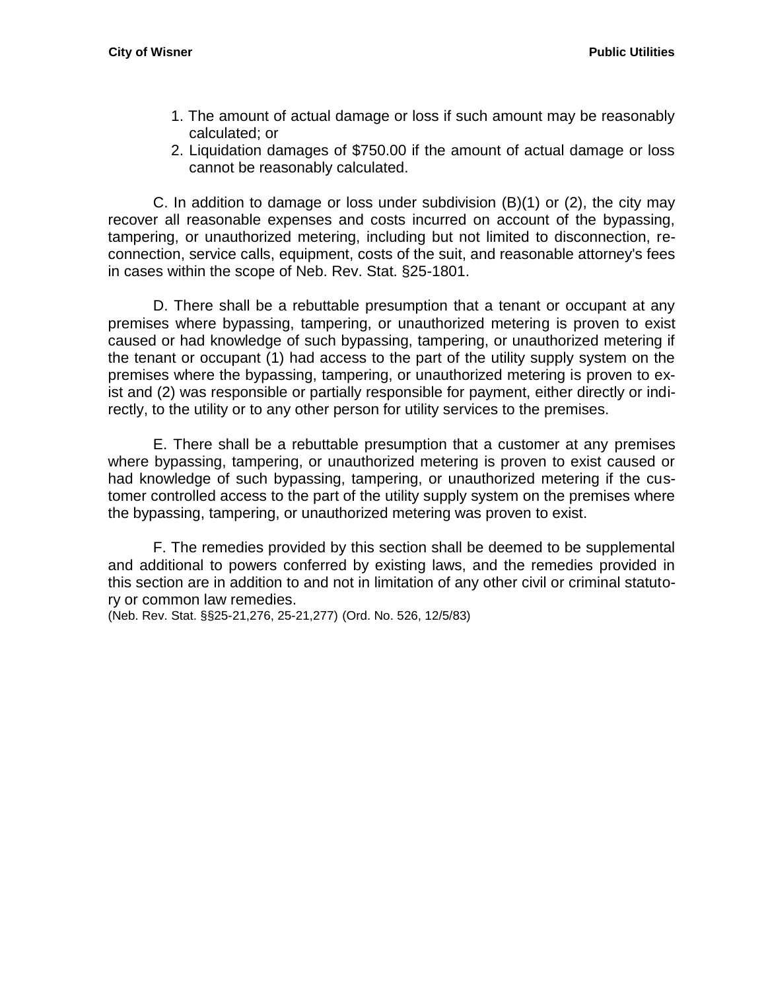- 1. The amount of actual damage or loss if such amount may be reasonably calculated; or
- 2. Liquidation damages of \$750.00 if the amount of actual damage or loss cannot be reasonably calculated.

C. In addition to damage or loss under subdivision  $(B)(1)$  or  $(2)$ , the city may recover all reasonable expenses and costs incurred on account of the bypassing, tampering, or unauthorized metering, including but not limited to disconnection, reconnection, service calls, equipment, costs of the suit, and reasonable attorney's fees in cases within the scope of Neb. Rev. Stat. §25-1801.

D. There shall be a rebuttable presumption that a tenant or occupant at any premises where bypassing, tampering, or unauthorized metering is proven to exist caused or had knowledge of such bypassing, tampering, or unauthorized metering if the tenant or occupant (1) had access to the part of the utility supply system on the premises where the bypassing, tampering, or unauthorized metering is proven to exist and (2) was responsible or partially responsible for payment, either directly or indirectly, to the utility or to any other person for utility services to the premises.

E. There shall be a rebuttable presumption that a customer at any premises where bypassing, tampering, or unauthorized metering is proven to exist caused or had knowledge of such bypassing, tampering, or unauthorized metering if the customer controlled access to the part of the utility supply system on the premises where the bypassing, tampering, or unauthorized metering was proven to exist.

F. The remedies provided by this section shall be deemed to be supplemental and additional to powers conferred by existing laws, and the remedies provided in this section are in addition to and not in limitation of any other civil or criminal statutory or common law remedies.

(Neb. Rev. Stat. §§25-21,276, 25-21,277) (Ord. No. 526, 12/5/83)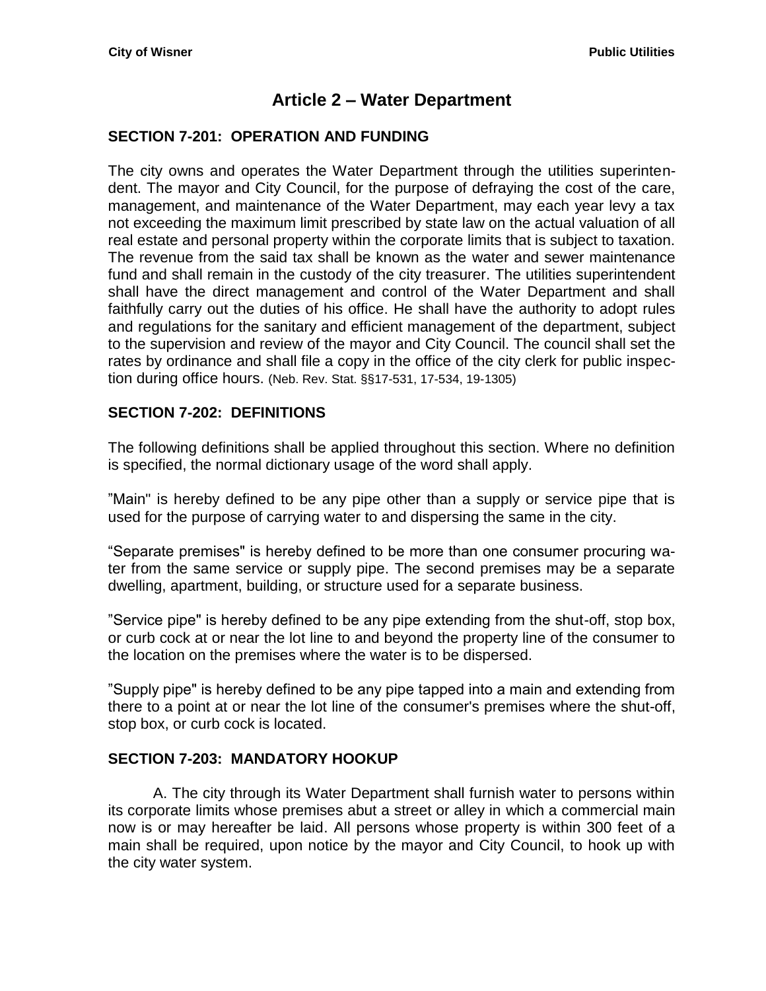# **Article 2 – Water Department**

#### <span id="page-10-1"></span><span id="page-10-0"></span>**SECTION 7-201: OPERATION AND FUNDING**

The city owns and operates the Water Department through the utilities superintendent. The mayor and City Council, for the purpose of defraying the cost of the care, management, and maintenance of the Water Department, may each year levy a tax not exceeding the maximum limit prescribed by state law on the actual valuation of all real estate and personal property within the corporate limits that is subject to taxation. The revenue from the said tax shall be known as the water and sewer maintenance fund and shall remain in the custody of the city treasurer. The utilities superintendent shall have the direct management and control of the Water Department and shall faithfully carry out the duties of his office. He shall have the authority to adopt rules and regulations for the sanitary and efficient management of the department, subject to the supervision and review of the mayor and City Council. The council shall set the rates by ordinance and shall file a copy in the office of the city clerk for public inspection during office hours. (Neb. Rev. Stat. §§17-531, 17-534, 19-1305)

#### <span id="page-10-2"></span>**SECTION 7-202: DEFINITIONS**

The following definitions shall be applied throughout this section. Where no definition is specified, the normal dictionary usage of the word shall apply.

"Main" is hereby defined to be any pipe other than a supply or service pipe that is used for the purpose of carrying water to and dispersing the same in the city.

"Separate premises" is hereby defined to be more than one consumer procuring water from the same service or supply pipe. The second premises may be a separate dwelling, apartment, building, or structure used for a separate business.

"Service pipe" is hereby defined to be any pipe extending from the shut-off, stop box, or curb cock at or near the lot line to and beyond the property line of the consumer to the location on the premises where the water is to be dispersed.

"Supply pipe" is hereby defined to be any pipe tapped into a main and extending from there to a point at or near the lot line of the consumer's premises where the shut-off, stop box, or curb cock is located.

#### <span id="page-10-3"></span>**SECTION 7-203: MANDATORY HOOKUP**

A. The city through its Water Department shall furnish water to persons within its corporate limits whose premises abut a street or alley in which a commercial main now is or may hereafter be laid. All persons whose property is within 300 feet of a main shall be required, upon notice by the mayor and City Council, to hook up with the city water system.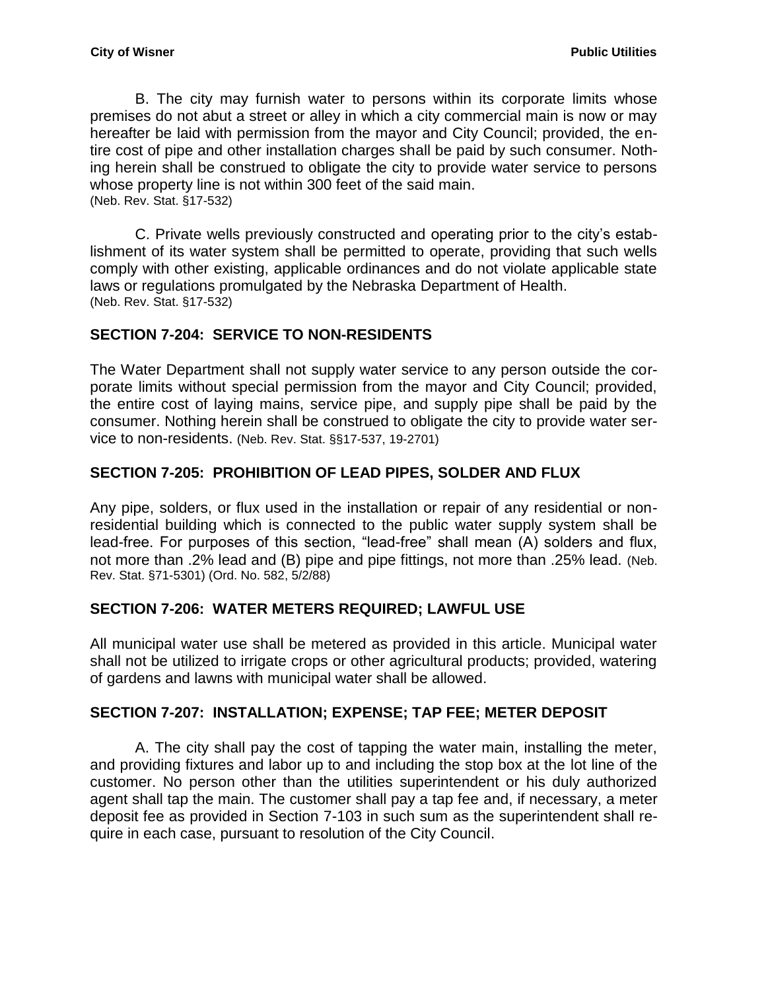B. The city may furnish water to persons within its corporate limits whose premises do not abut a street or alley in which a city commercial main is now or may hereafter be laid with permission from the mayor and City Council; provided, the entire cost of pipe and other installation charges shall be paid by such consumer. Nothing herein shall be construed to obligate the city to provide water service to persons whose property line is not within 300 feet of the said main. (Neb. Rev. Stat. §17-532)

C. Private wells previously constructed and operating prior to the city's establishment of its water system shall be permitted to operate, providing that such wells comply with other existing, applicable ordinances and do not violate applicable state laws or regulations promulgated by the Nebraska Department of Health. (Neb. Rev. Stat. §17-532)

# <span id="page-11-0"></span>**SECTION 7-204: SERVICE TO NON-RESIDENTS**

The Water Department shall not supply water service to any person outside the corporate limits without special permission from the mayor and City Council; provided, the entire cost of laying mains, service pipe, and supply pipe shall be paid by the consumer. Nothing herein shall be construed to obligate the city to provide water service to non-residents. (Neb. Rev. Stat. §§17-537, 19-2701)

# <span id="page-11-1"></span>**SECTION 7-205: PROHIBITION OF LEAD PIPES, SOLDER AND FLUX**

Any pipe, solders, or flux used in the installation or repair of any residential or nonresidential building which is connected to the public water supply system shall be lead-free. For purposes of this section, "lead-free" shall mean (A) solders and flux, not more than .2% lead and (B) pipe and pipe fittings, not more than .25% lead. (Neb. Rev. Stat. §71-5301) (Ord. No. 582, 5/2/88)

#### <span id="page-11-2"></span>**SECTION 7-206: WATER METERS REQUIRED; LAWFUL USE**

All municipal water use shall be metered as provided in this article. Municipal water shall not be utilized to irrigate crops or other agricultural products; provided, watering of gardens and lawns with municipal water shall be allowed.

#### <span id="page-11-3"></span>**SECTION 7-207: INSTALLATION; EXPENSE; TAP FEE; METER DEPOSIT**

A. The city shall pay the cost of tapping the water main, installing the meter, and providing fixtures and labor up to and including the stop box at the lot line of the customer. No person other than the utilities superintendent or his duly authorized agent shall tap the main. The customer shall pay a tap fee and, if necessary, a meter deposit fee as provided in Section 7-103 in such sum as the superintendent shall require in each case, pursuant to resolution of the City Council.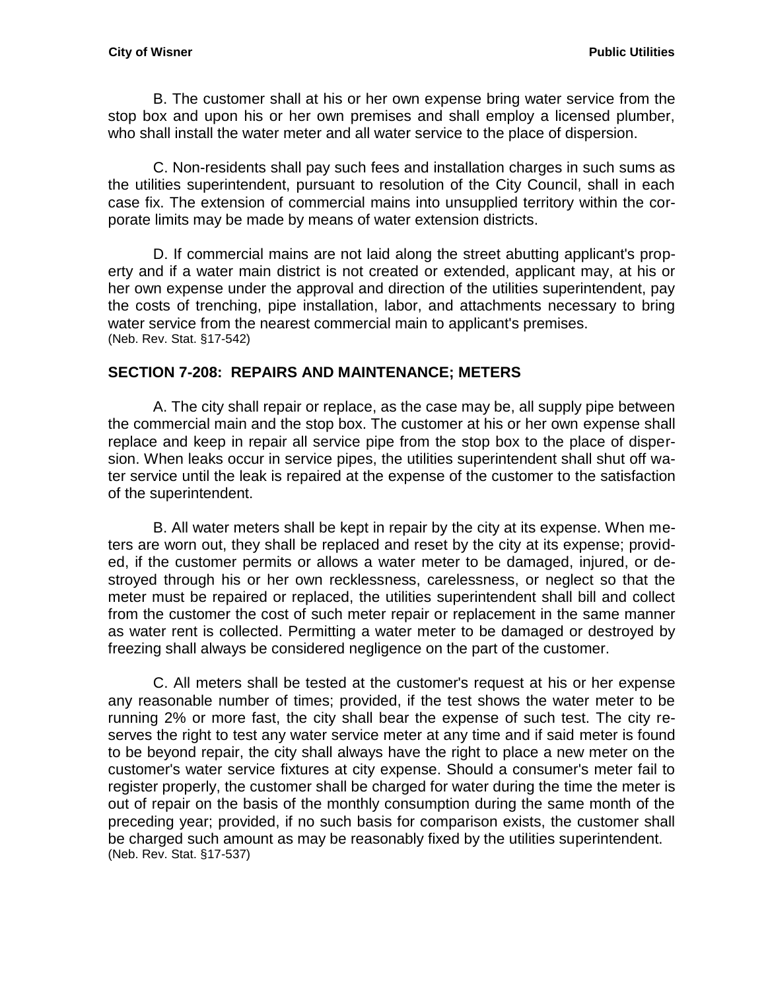B. The customer shall at his or her own expense bring water service from the stop box and upon his or her own premises and shall employ a licensed plumber, who shall install the water meter and all water service to the place of dispersion.

C. Non-residents shall pay such fees and installation charges in such sums as the utilities superintendent, pursuant to resolution of the City Council, shall in each case fix. The extension of commercial mains into unsupplied territory within the corporate limits may be made by means of water extension districts.

D. If commercial mains are not laid along the street abutting applicant's property and if a water main district is not created or extended, applicant may, at his or her own expense under the approval and direction of the utilities superintendent, pay the costs of trenching, pipe installation, labor, and attachments necessary to bring water service from the nearest commercial main to applicant's premises. (Neb. Rev. Stat. §17-542)

#### <span id="page-12-0"></span>**SECTION 7-208: REPAIRS AND MAINTENANCE; METERS**

A. The city shall repair or replace, as the case may be, all supply pipe between the commercial main and the stop box. The customer at his or her own expense shall replace and keep in repair all service pipe from the stop box to the place of dispersion. When leaks occur in service pipes, the utilities superintendent shall shut off water service until the leak is repaired at the expense of the customer to the satisfaction of the superintendent.

B. All water meters shall be kept in repair by the city at its expense. When meters are worn out, they shall be replaced and reset by the city at its expense; provided, if the customer permits or allows a water meter to be damaged, injured, or destroyed through his or her own recklessness, carelessness, or neglect so that the meter must be repaired or replaced, the utilities superintendent shall bill and collect from the customer the cost of such meter repair or replacement in the same manner as water rent is collected. Permitting a water meter to be damaged or destroyed by freezing shall always be considered negligence on the part of the customer.

<span id="page-12-1"></span>C. All meters shall be tested at the customer's request at his or her expense any reasonable number of times; provided, if the test shows the water meter to be running 2% or more fast, the city shall bear the expense of such test. The city reserves the right to test any water service meter at any time and if said meter is found to be beyond repair, the city shall always have the right to place a new meter on the customer's water service fixtures at city expense. Should a consumer's meter fail to register properly, the customer shall be charged for water during the time the meter is out of repair on the basis of the monthly consumption during the same month of the preceding year; provided, if no such basis for comparison exists, the customer shall be charged such amount as may be reasonably fixed by the utilities superintendent. (Neb. Rev. Stat. §17-537)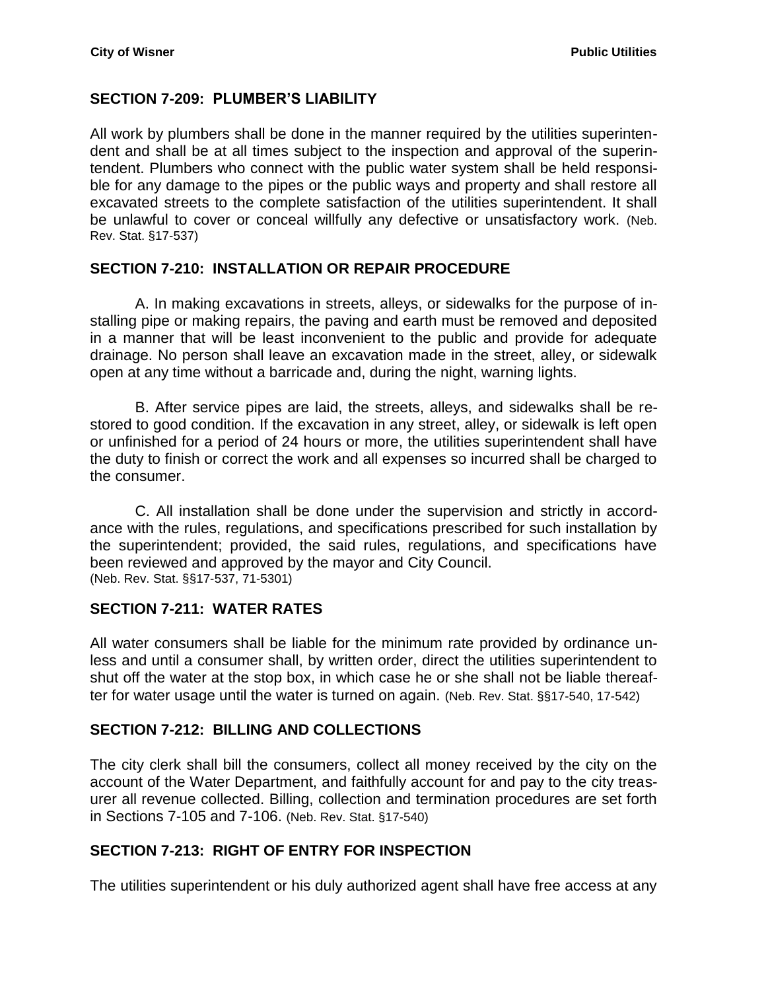## **SECTION 7-209: PLUMBER'S LIABILITY**

All work by plumbers shall be done in the manner required by the utilities superintendent and shall be at all times subject to the inspection and approval of the superintendent. Plumbers who connect with the public water system shall be held responsible for any damage to the pipes or the public ways and property and shall restore all excavated streets to the complete satisfaction of the utilities superintendent. It shall be unlawful to cover or conceal willfully any defective or unsatisfactory work. (Neb. Rev. Stat. §17-537)

#### <span id="page-13-0"></span>**SECTION 7-210: INSTALLATION OR REPAIR PROCEDURE**

A. In making excavations in streets, alleys, or sidewalks for the purpose of installing pipe or making repairs, the paving and earth must be removed and deposited in a manner that will be least inconvenient to the public and provide for adequate drainage. No person shall leave an excavation made in the street, alley, or sidewalk open at any time without a barricade and, during the night, warning lights.

B. After service pipes are laid, the streets, alleys, and sidewalks shall be restored to good condition. If the excavation in any street, alley, or sidewalk is left open or unfinished for a period of 24 hours or more, the utilities superintendent shall have the duty to finish or correct the work and all expenses so incurred shall be charged to the consumer.

C. All installation shall be done under the supervision and strictly in accordance with the rules, regulations, and specifications prescribed for such installation by the superintendent; provided, the said rules, regulations, and specifications have been reviewed and approved by the mayor and City Council. (Neb. Rev. Stat. §§17-537, 71-5301)

#### <span id="page-13-1"></span>**SECTION 7-211: WATER RATES**

All water consumers shall be liable for the minimum rate provided by ordinance unless and until a consumer shall, by written order, direct the utilities superintendent to shut off the water at the stop box, in which case he or she shall not be liable thereafter for water usage until the water is turned on again. (Neb. Rev. Stat. §§17-540, 17-542)

# <span id="page-13-2"></span>**SECTION 7-212: BILLING AND COLLECTIONS**

The city clerk shall bill the consumers, collect all money received by the city on the account of the Water Department, and faithfully account for and pay to the city treasurer all revenue collected. Billing, collection and termination procedures are set forth in Sections 7-105 and 7-106. (Neb. Rev. Stat. §17-540)

# <span id="page-13-3"></span>**SECTION 7-213: RIGHT OF ENTRY FOR INSPECTION**

The utilities superintendent or his duly authorized agent shall have free access at any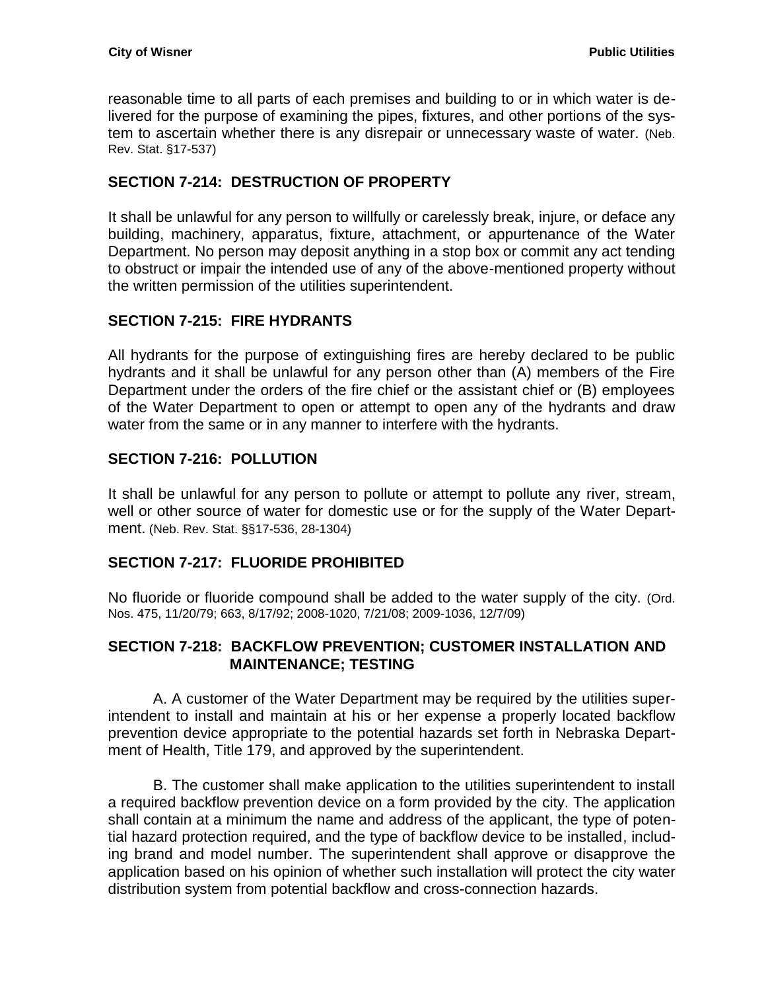reasonable time to all parts of each premises and building to or in which water is delivered for the purpose of examining the pipes, fixtures, and other portions of the system to ascertain whether there is any disrepair or unnecessary waste of water. (Neb. Rev. Stat. §17-537)

# <span id="page-14-0"></span>**SECTION 7-214: DESTRUCTION OF PROPERTY**

It shall be unlawful for any person to willfully or carelessly break, injure, or deface any building, machinery, apparatus, fixture, attachment, or appurtenance of the Water Department. No person may deposit anything in a stop box or commit any act tending to obstruct or impair the intended use of any of the above-mentioned property without the written permission of the utilities superintendent.

# <span id="page-14-1"></span>**SECTION 7-215: FIRE HYDRANTS**

All hydrants for the purpose of extinguishing fires are hereby declared to be public hydrants and it shall be unlawful for any person other than (A) members of the Fire Department under the orders of the fire chief or the assistant chief or (B) employees of the Water Department to open or attempt to open any of the hydrants and draw water from the same or in any manner to interfere with the hydrants.

# <span id="page-14-2"></span>**SECTION 7-216: POLLUTION**

It shall be unlawful for any person to pollute or attempt to pollute any river, stream, well or other source of water for domestic use or for the supply of the Water Department. (Neb. Rev. Stat. §§17-536, 28-1304)

#### <span id="page-14-3"></span>**SECTION 7-217: FLUORIDE PROHIBITED**

No fluoride or fluoride compound shall be added to the water supply of the city. (Ord. Nos. 475, 11/20/79; 663, 8/17/92; 2008-1020, 7/21/08; 2009-1036, 12/7/09)

#### <span id="page-14-4"></span>**SECTION 7-218: BACKFLOW PREVENTION; CUSTOMER INSTALLATION AND MAINTENANCE; TESTING**

A. A customer of the Water Department may be required by the utilities superintendent to install and maintain at his or her expense a properly located backflow prevention device appropriate to the potential hazards set forth in Nebraska Department of Health, Title 179, and approved by the superintendent.

B. The customer shall make application to the utilities superintendent to install a required backflow prevention device on a form provided by the city. The application shall contain at a minimum the name and address of the applicant, the type of potential hazard protection required, and the type of backflow device to be installed, including brand and model number. The superintendent shall approve or disapprove the application based on his opinion of whether such installation will protect the city water distribution system from potential backflow and cross-connection hazards.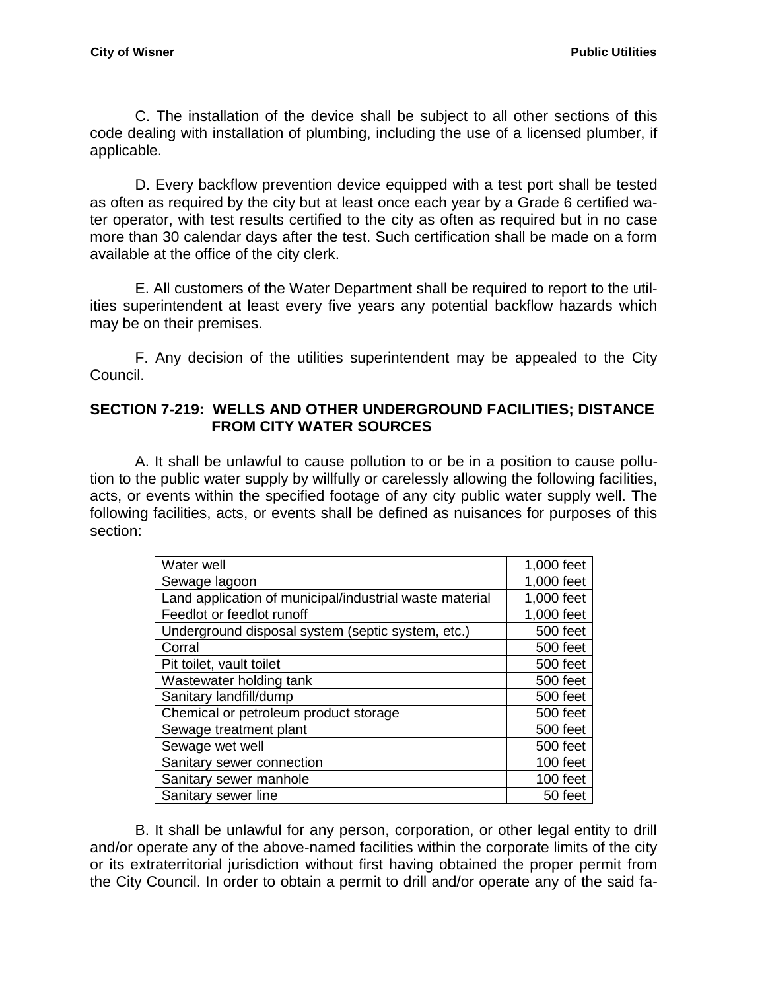C. The installation of the device shall be subject to all other sections of this code dealing with installation of plumbing, including the use of a licensed plumber, if applicable.

D. Every backflow prevention device equipped with a test port shall be tested as often as required by the city but at least once each year by a Grade 6 certified water operator, with test results certified to the city as often as required but in no case more than 30 calendar days after the test. Such certification shall be made on a form available at the office of the city clerk.

E. All customers of the Water Department shall be required to report to the utilities superintendent at least every five years any potential backflow hazards which may be on their premises.

F. Any decision of the utilities superintendent may be appealed to the City Council.

#### <span id="page-15-0"></span>**SECTION 7-219: WELLS AND OTHER UNDERGROUND FACILITIES; DISTANCE FROM CITY WATER SOURCES**

A. It shall be unlawful to cause pollution to or be in a position to cause pollution to the public water supply by willfully or carelessly allowing the following facilities, acts, or events within the specified footage of any city public water supply well. The following facilities, acts, or events shall be defined as nuisances for purposes of this section:

| Water well                                              | 1,000 feet |
|---------------------------------------------------------|------------|
| Sewage lagoon                                           | 1,000 feet |
| Land application of municipal/industrial waste material | 1,000 feet |
| Feedlot or feedlot runoff                               | 1,000 feet |
| Underground disposal system (septic system, etc.)       | 500 feet   |
| Corral                                                  | 500 feet   |
| Pit toilet, vault toilet                                | 500 feet   |
| Wastewater holding tank                                 | 500 feet   |
| Sanitary landfill/dump                                  | 500 feet   |
| Chemical or petroleum product storage                   | 500 feet   |
| Sewage treatment plant                                  | 500 feet   |
| Sewage wet well                                         | 500 feet   |
| Sanitary sewer connection                               | 100 feet   |
| Sanitary sewer manhole                                  | 100 feet   |
| Sanitary sewer line                                     | 50 feet    |

B. It shall be unlawful for any person, corporation, or other legal entity to drill and/or operate any of the above-named facilities within the corporate limits of the city or its extraterritorial jurisdiction without first having obtained the proper permit from the City Council. In order to obtain a permit to drill and/or operate any of the said fa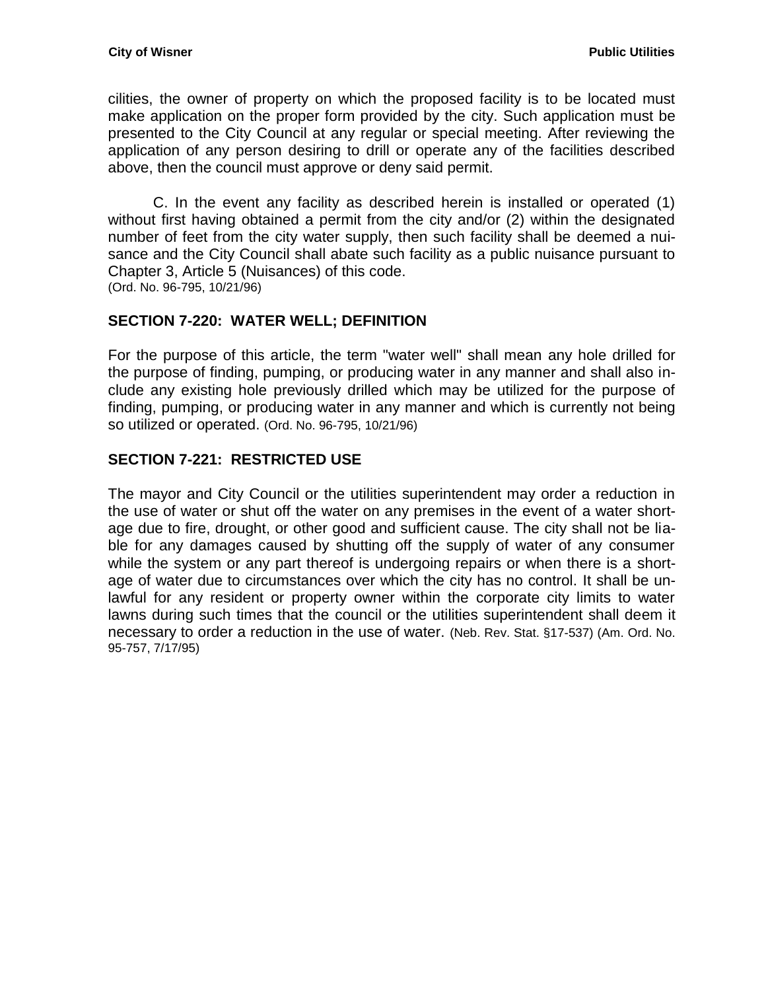cilities, the owner of property on which the proposed facility is to be located must make application on the proper form provided by the city. Such application must be presented to the City Council at any regular or special meeting. After reviewing the application of any person desiring to drill or operate any of the facilities described above, then the council must approve or deny said permit.

C. In the event any facility as described herein is installed or operated (1) without first having obtained a permit from the city and/or (2) within the designated number of feet from the city water supply, then such facility shall be deemed a nuisance and the City Council shall abate such facility as a public nuisance pursuant to Chapter 3, Article 5 (Nuisances) of this code. (Ord. No. 96-795, 10/21/96)

## <span id="page-16-0"></span>**SECTION 7-220: WATER WELL; DEFINITION**

For the purpose of this article, the term "water well" shall mean any hole drilled for the purpose of finding, pumping, or producing water in any manner and shall also include any existing hole previously drilled which may be utilized for the purpose of finding, pumping, or producing water in any manner and which is currently not being so utilized or operated. (Ord. No. 96-795, 10/21/96)

## <span id="page-16-1"></span>**SECTION 7-221: RESTRICTED USE**

The mayor and City Council or the utilities superintendent may order a reduction in the use of water or shut off the water on any premises in the event of a water shortage due to fire, drought, or other good and sufficient cause. The city shall not be liable for any damages caused by shutting off the supply of water of any consumer while the system or any part thereof is undergoing repairs or when there is a shortage of water due to circumstances over which the city has no control. It shall be unlawful for any resident or property owner within the corporate city limits to water lawns during such times that the council or the utilities superintendent shall deem it necessary to order a reduction in the use of water. (Neb. Rev. Stat. §17-537) (Am. Ord. No. 95-757, 7/17/95)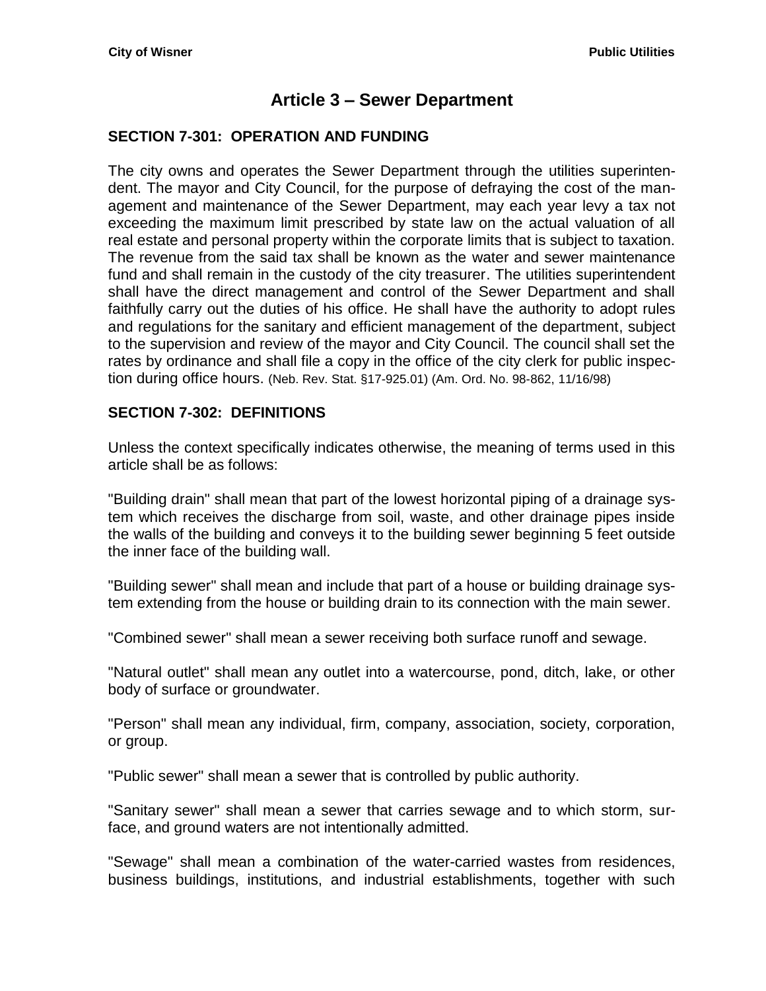# **Article 3 – Sewer Department**

#### <span id="page-18-1"></span><span id="page-18-0"></span>**SECTION 7-301: OPERATION AND FUNDING**

The city owns and operates the Sewer Department through the utilities superintendent. The mayor and City Council, for the purpose of defraying the cost of the management and maintenance of the Sewer Department, may each year levy a tax not exceeding the maximum limit prescribed by state law on the actual valuation of all real estate and personal property within the corporate limits that is subject to taxation. The revenue from the said tax shall be known as the water and sewer maintenance fund and shall remain in the custody of the city treasurer. The utilities superintendent shall have the direct management and control of the Sewer Department and shall faithfully carry out the duties of his office. He shall have the authority to adopt rules and regulations for the sanitary and efficient management of the department, subject to the supervision and review of the mayor and City Council. The council shall set the rates by ordinance and shall file a copy in the office of the city clerk for public inspection during office hours. (Neb. Rev. Stat. §17-925.01) (Am. Ord. No. 98-862, 11/16/98)

#### <span id="page-18-2"></span>**SECTION 7-302: DEFINITIONS**

Unless the context specifically indicates otherwise, the meaning of terms used in this article shall be as follows:

"Building drain" shall mean that part of the lowest horizontal piping of a drainage system which receives the discharge from soil, waste, and other drainage pipes inside the walls of the building and conveys it to the building sewer beginning 5 feet outside the inner face of the building wall.

"Building sewer" shall mean and include that part of a house or building drainage system extending from the house or building drain to its connection with the main sewer.

"Combined sewer" shall mean a sewer receiving both surface runoff and sewage.

"Natural outlet" shall mean any outlet into a watercourse, pond, ditch, lake, or other body of surface or groundwater.

"Person" shall mean any individual, firm, company, association, society, corporation, or group.

"Public sewer" shall mean a sewer that is controlled by public authority.

"Sanitary sewer" shall mean a sewer that carries sewage and to which storm, surface, and ground waters are not intentionally admitted.

"Sewage" shall mean a combination of the water-carried wastes from residences, business buildings, institutions, and industrial establishments, together with such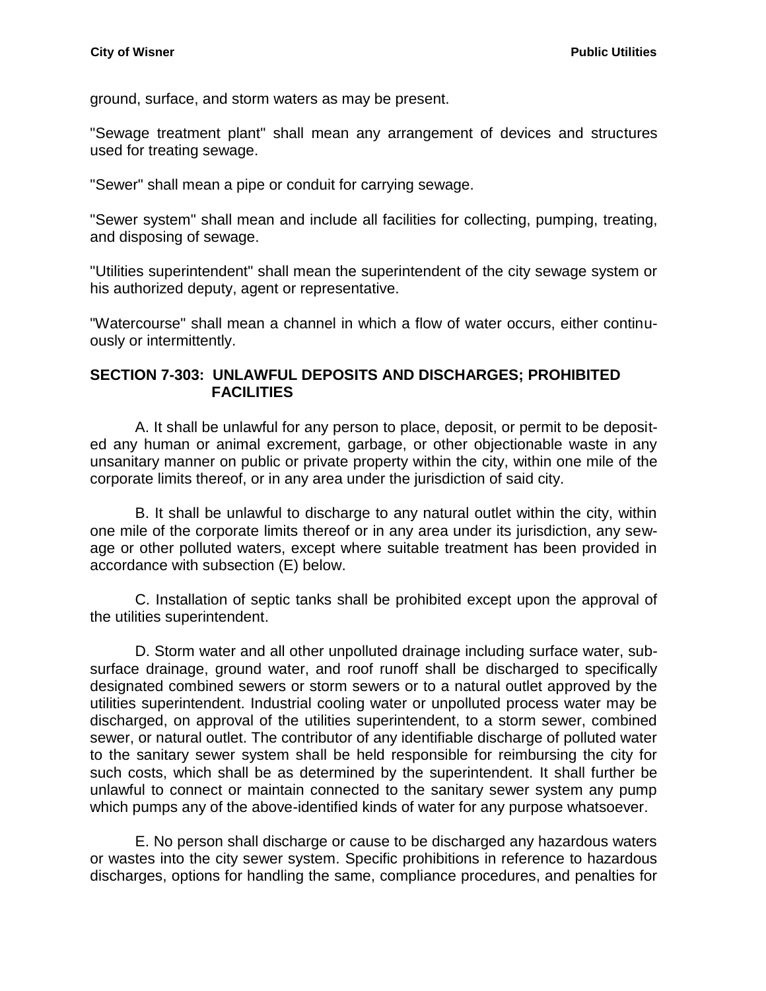ground, surface, and storm waters as may be present.

"Sewage treatment plant" shall mean any arrangement of devices and structures used for treating sewage.

"Sewer" shall mean a pipe or conduit for carrying sewage.

"Sewer system" shall mean and include all facilities for collecting, pumping, treating, and disposing of sewage.

"Utilities superintendent" shall mean the superintendent of the city sewage system or his authorized deputy, agent or representative.

"Watercourse" shall mean a channel in which a flow of water occurs, either continuously or intermittently.

## <span id="page-19-0"></span>**SECTION 7-303: UNLAWFUL DEPOSITS AND DISCHARGES; PROHIBITED FACILITIES**

A. It shall be unlawful for any person to place, deposit, or permit to be deposited any human or animal excrement, garbage, or other objectionable waste in any unsanitary manner on public or private property within the city, within one mile of the corporate limits thereof, or in any area under the jurisdiction of said city.

B. It shall be unlawful to discharge to any natural outlet within the city, within one mile of the corporate limits thereof or in any area under its jurisdiction, any sewage or other polluted waters, except where suitable treatment has been provided in accordance with subsection (E) below.

C. Installation of septic tanks shall be prohibited except upon the approval of the utilities superintendent.

D. Storm water and all other unpolluted drainage including surface water, subsurface drainage, ground water, and roof runoff shall be discharged to specifically designated combined sewers or storm sewers or to a natural outlet approved by the utilities superintendent. Industrial cooling water or unpolluted process water may be discharged, on approval of the utilities superintendent, to a storm sewer, combined sewer, or natural outlet. The contributor of any identifiable discharge of polluted water to the sanitary sewer system shall be held responsible for reimbursing the city for such costs, which shall be as determined by the superintendent. It shall further be unlawful to connect or maintain connected to the sanitary sewer system any pump which pumps any of the above-identified kinds of water for any purpose whatsoever.

E. No person shall discharge or cause to be discharged any hazardous waters or wastes into the city sewer system. Specific prohibitions in reference to hazardous discharges, options for handling the same, compliance procedures, and penalties for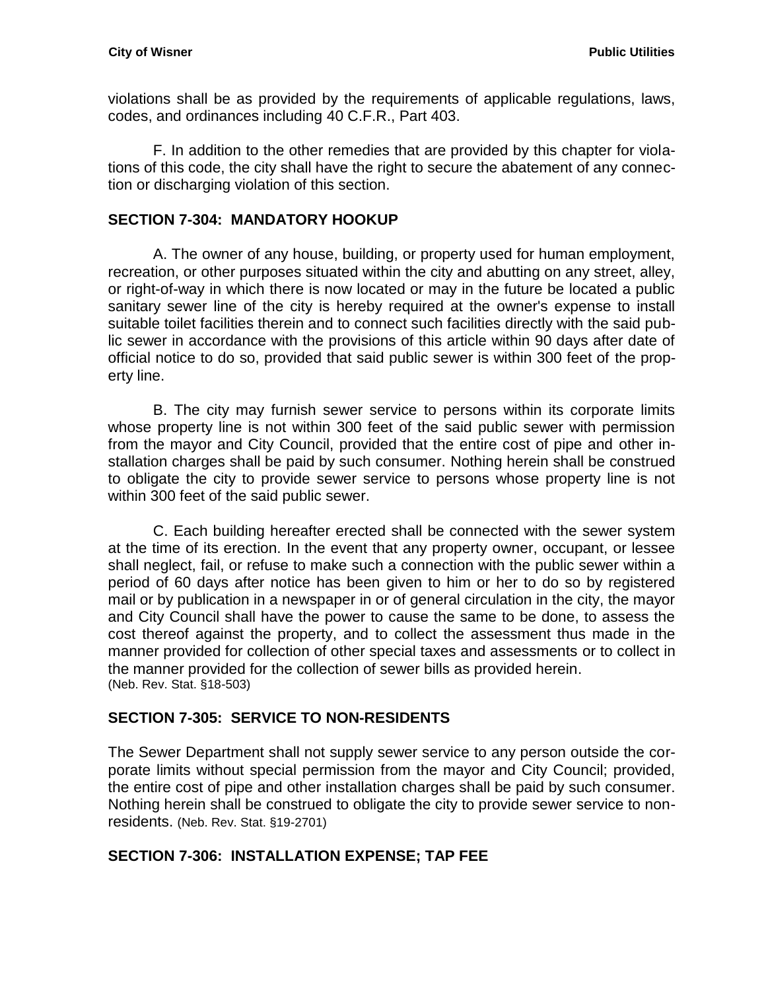violations shall be as provided by the requirements of applicable regulations, laws, codes, and ordinances including 40 C.F.R., Part 403.

F. In addition to the other remedies that are provided by this chapter for violations of this code, the city shall have the right to secure the abatement of any connection or discharging violation of this section.

### <span id="page-20-0"></span>**SECTION 7-304: MANDATORY HOOKUP**

A. The owner of any house, building, or property used for human employment, recreation, or other purposes situated within the city and abutting on any street, alley, or right-of-way in which there is now located or may in the future be located a public sanitary sewer line of the city is hereby required at the owner's expense to install suitable toilet facilities therein and to connect such facilities directly with the said public sewer in accordance with the provisions of this article within 90 days after date of official notice to do so, provided that said public sewer is within 300 feet of the property line.

B. The city may furnish sewer service to persons within its corporate limits whose property line is not within 300 feet of the said public sewer with permission from the mayor and City Council, provided that the entire cost of pipe and other installation charges shall be paid by such consumer. Nothing herein shall be construed to obligate the city to provide sewer service to persons whose property line is not within 300 feet of the said public sewer.

C. Each building hereafter erected shall be connected with the sewer system at the time of its erection. In the event that any property owner, occupant, or lessee shall neglect, fail, or refuse to make such a connection with the public sewer within a period of 60 days after notice has been given to him or her to do so by registered mail or by publication in a newspaper in or of general circulation in the city, the mayor and City Council shall have the power to cause the same to be done, to assess the cost thereof against the property, and to collect the assessment thus made in the manner provided for collection of other special taxes and assessments or to collect in the manner provided for the collection of sewer bills as provided herein. (Neb. Rev. Stat. §18-503)

#### <span id="page-20-1"></span>**SECTION 7-305: SERVICE TO NON-RESIDENTS**

The Sewer Department shall not supply sewer service to any person outside the corporate limits without special permission from the mayor and City Council; provided, the entire cost of pipe and other installation charges shall be paid by such consumer. Nothing herein shall be construed to obligate the city to provide sewer service to nonresidents. (Neb. Rev. Stat. §19-2701)

# <span id="page-20-2"></span>**SECTION 7-306: INSTALLATION EXPENSE; TAP FEE**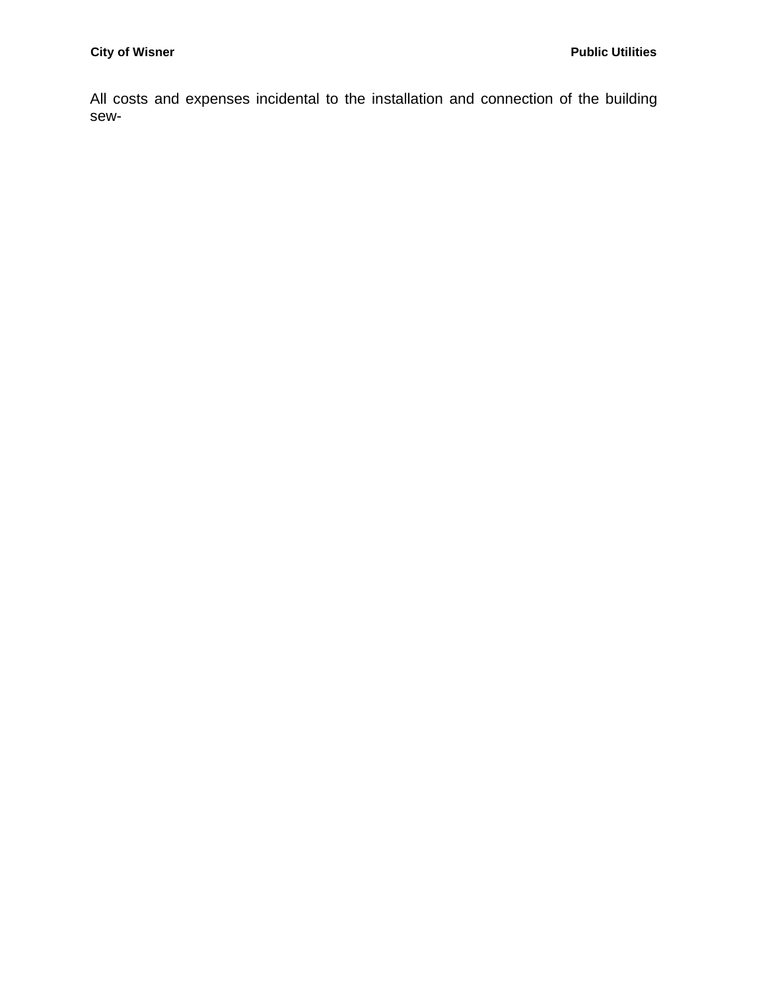All costs and expenses incidental to the installation and connection of the building sew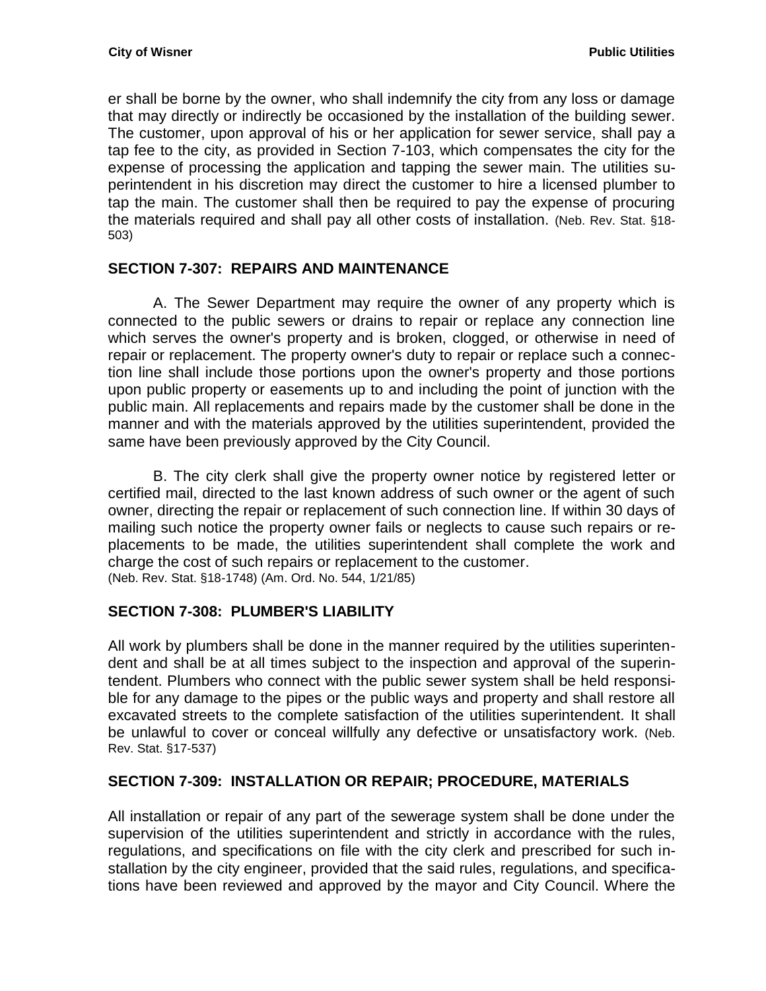er shall be borne by the owner, who shall indemnify the city from any loss or damage that may directly or indirectly be occasioned by the installation of the building sewer. The customer, upon approval of his or her application for sewer service, shall pay a tap fee to the city, as provided in Section 7-103, which compensates the city for the expense of processing the application and tapping the sewer main. The utilities superintendent in his discretion may direct the customer to hire a licensed plumber to tap the main. The customer shall then be required to pay the expense of procuring the materials required and shall pay all other costs of installation. (Neb. Rev. Stat. §18- 503)

## <span id="page-22-0"></span>**SECTION 7-307: REPAIRS AND MAINTENANCE**

A. The Sewer Department may require the owner of any property which is connected to the public sewers or drains to repair or replace any connection line which serves the owner's property and is broken, clogged, or otherwise in need of repair or replacement. The property owner's duty to repair or replace such a connection line shall include those portions upon the owner's property and those portions upon public property or easements up to and including the point of junction with the public main. All replacements and repairs made by the customer shall be done in the manner and with the materials approved by the utilities superintendent, provided the same have been previously approved by the City Council.

B. The city clerk shall give the property owner notice by registered letter or certified mail, directed to the last known address of such owner or the agent of such owner, directing the repair or replacement of such connection line. If within 30 days of mailing such notice the property owner fails or neglects to cause such repairs or replacements to be made, the utilities superintendent shall complete the work and charge the cost of such repairs or replacement to the customer. (Neb. Rev. Stat. §18-1748) (Am. Ord. No. 544, 1/21/85)

#### <span id="page-22-1"></span>**SECTION 7-308: PLUMBER'S LIABILITY**

All work by plumbers shall be done in the manner required by the utilities superintendent and shall be at all times subject to the inspection and approval of the superintendent. Plumbers who connect with the public sewer system shall be held responsible for any damage to the pipes or the public ways and property and shall restore all excavated streets to the complete satisfaction of the utilities superintendent. It shall be unlawful to cover or conceal willfully any defective or unsatisfactory work. (Neb. Rev. Stat. §17-537)

#### <span id="page-22-2"></span>**SECTION 7-309: INSTALLATION OR REPAIR; PROCEDURE, MATERIALS**

All installation or repair of any part of the sewerage system shall be done under the supervision of the utilities superintendent and strictly in accordance with the rules, regulations, and specifications on file with the city clerk and prescribed for such installation by the city engineer, provided that the said rules, regulations, and specifications have been reviewed and approved by the mayor and City Council. Where the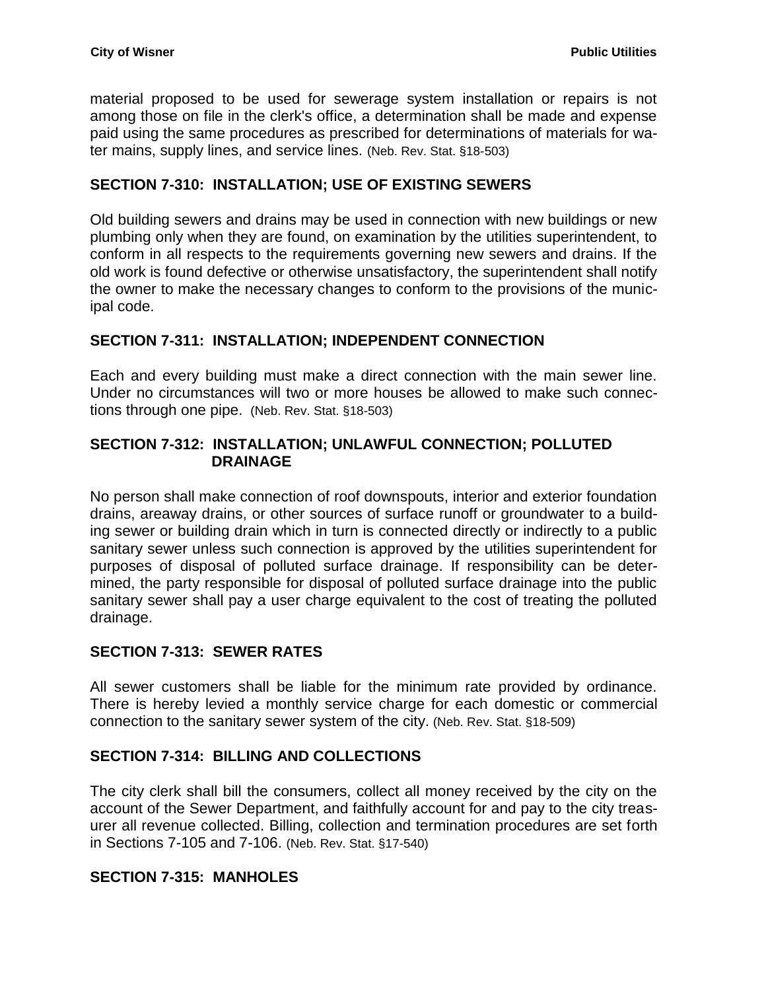material proposed to be used for sewerage system installation or repairs is not among those on file in the clerk's office, a determination shall be made and expense paid using the same procedures as prescribed for determinations of materials for water mains, supply lines, and service lines. (Neb. Rev. Stat. §18-503)

### <span id="page-23-0"></span>**SECTION 7-310: INSTALLATION; USE OF EXISTING SEWERS**

Old building sewers and drains may be used in connection with new buildings or new plumbing only when they are found, on examination by the utilities superintendent, to conform in all respects to the requirements governing new sewers and drains. If the old work is found defective or otherwise unsatisfactory, the superintendent shall notify the owner to make the necessary changes to conform to the provisions of the municipal code.

## <span id="page-23-1"></span>**SECTION 7-311: INSTALLATION; INDEPENDENT CONNECTION**

Each and every building must make a direct connection with the main sewer line. Under no circumstances will two or more houses be allowed to make such connections through one pipe. (Neb. Rev. Stat. §18-503)

## <span id="page-23-2"></span>**SECTION 7-312: INSTALLATION; UNLAWFUL CONNECTION; POLLUTED DRAINAGE**

No person shall make connection of roof downspouts, interior and exterior foundation drains, areaway drains, or other sources of surface runoff or groundwater to a building sewer or building drain which in turn is connected directly or indirectly to a public sanitary sewer unless such connection is approved by the utilities superintendent for purposes of disposal of polluted surface drainage. If responsibility can be determined, the party responsible for disposal of polluted surface drainage into the public sanitary sewer shall pay a user charge equivalent to the cost of treating the polluted drainage.

#### <span id="page-23-3"></span>**SECTION 7-313: SEWER RATES**

All sewer customers shall be liable for the minimum rate provided by ordinance. There is hereby levied a monthly service charge for each domestic or commercial connection to the sanitary sewer system of the city. (Neb. Rev. Stat. §18-509)

# <span id="page-23-4"></span>**SECTION 7-314: BILLING AND COLLECTIONS**

The city clerk shall bill the consumers, collect all money received by the city on the account of the Sewer Department, and faithfully account for and pay to the city treasurer all revenue collected. Billing, collection and termination procedures are set forth in Sections 7-105 and 7-106. (Neb. Rev. Stat. §17-540)

#### <span id="page-23-5"></span>**SECTION 7-315: MANHOLES**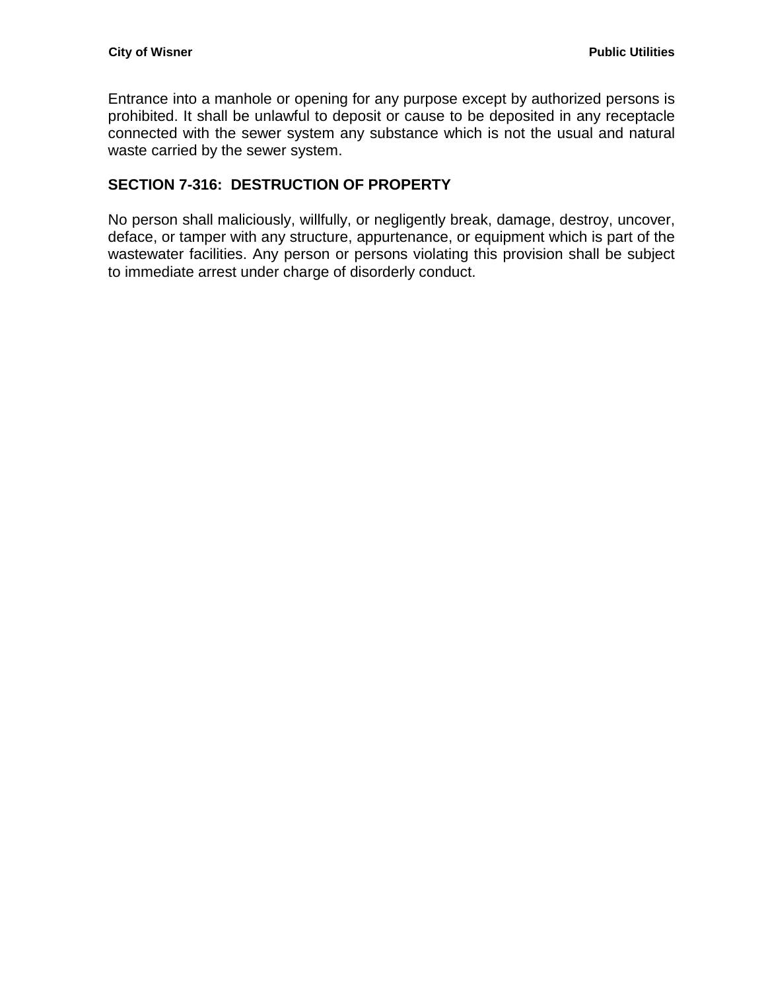Entrance into a manhole or opening for any purpose except by authorized persons is prohibited. It shall be unlawful to deposit or cause to be deposited in any receptacle connected with the sewer system any substance which is not the usual and natural waste carried by the sewer system.

## <span id="page-24-0"></span>**SECTION 7-316: DESTRUCTION OF PROPERTY**

No person shall maliciously, willfully, or negligently break, damage, destroy, uncover, deface, or tamper with any structure, appurtenance, or equipment which is part of the wastewater facilities. Any person or persons violating this provision shall be subject to immediate arrest under charge of disorderly conduct.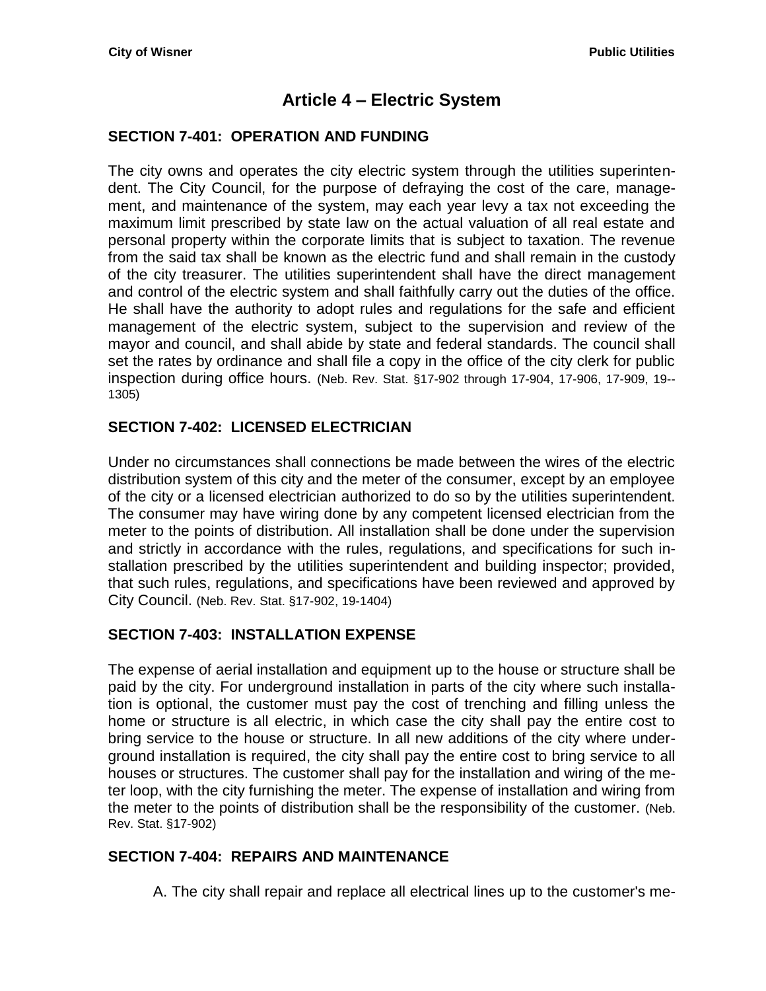# **Article 4 – Electric System**

#### <span id="page-26-1"></span><span id="page-26-0"></span>**SECTION 7-401: OPERATION AND FUNDING**

The city owns and operates the city electric system through the utilities superintendent. The City Council, for the purpose of defraying the cost of the care, management, and maintenance of the system, may each year levy a tax not exceeding the maximum limit prescribed by state law on the actual valuation of all real estate and personal property within the corporate limits that is subject to taxation. The revenue from the said tax shall be known as the electric fund and shall remain in the custody of the city treasurer. The utilities superintendent shall have the direct management and control of the electric system and shall faithfully carry out the duties of the office. He shall have the authority to adopt rules and regulations for the safe and efficient management of the electric system, subject to the supervision and review of the mayor and council, and shall abide by state and federal standards. The council shall set the rates by ordinance and shall file a copy in the office of the city clerk for public inspection during office hours. (Neb. Rev. Stat. §17-902 through 17-904, 17-906, 17-909, 19-- 1305)

## <span id="page-26-2"></span>**SECTION 7-402: LICENSED ELECTRICIAN**

Under no circumstances shall connections be made between the wires of the electric distribution system of this city and the meter of the consumer, except by an employee of the city or a licensed electrician authorized to do so by the utilities superintendent. The consumer may have wiring done by any competent licensed electrician from the meter to the points of distribution. All installation shall be done under the supervision and strictly in accordance with the rules, regulations, and specifications for such installation prescribed by the utilities superintendent and building inspector; provided, that such rules, regulations, and specifications have been reviewed and approved by City Council. (Neb. Rev. Stat. §17-902, 19-1404)

#### <span id="page-26-3"></span>**SECTION 7-403: INSTALLATION EXPENSE**

The expense of aerial installation and equipment up to the house or structure shall be paid by the city. For underground installation in parts of the city where such installation is optional, the customer must pay the cost of trenching and filling unless the home or structure is all electric, in which case the city shall pay the entire cost to bring service to the house or structure. In all new additions of the city where underground installation is required, the city shall pay the entire cost to bring service to all houses or structures. The customer shall pay for the installation and wiring of the meter loop, with the city furnishing the meter. The expense of installation and wiring from the meter to the points of distribution shall be the responsibility of the customer. (Neb. Rev. Stat. §17-902)

#### <span id="page-26-4"></span>**SECTION 7-404: REPAIRS AND MAINTENANCE**

A. The city shall repair and replace all electrical lines up to the customer's me-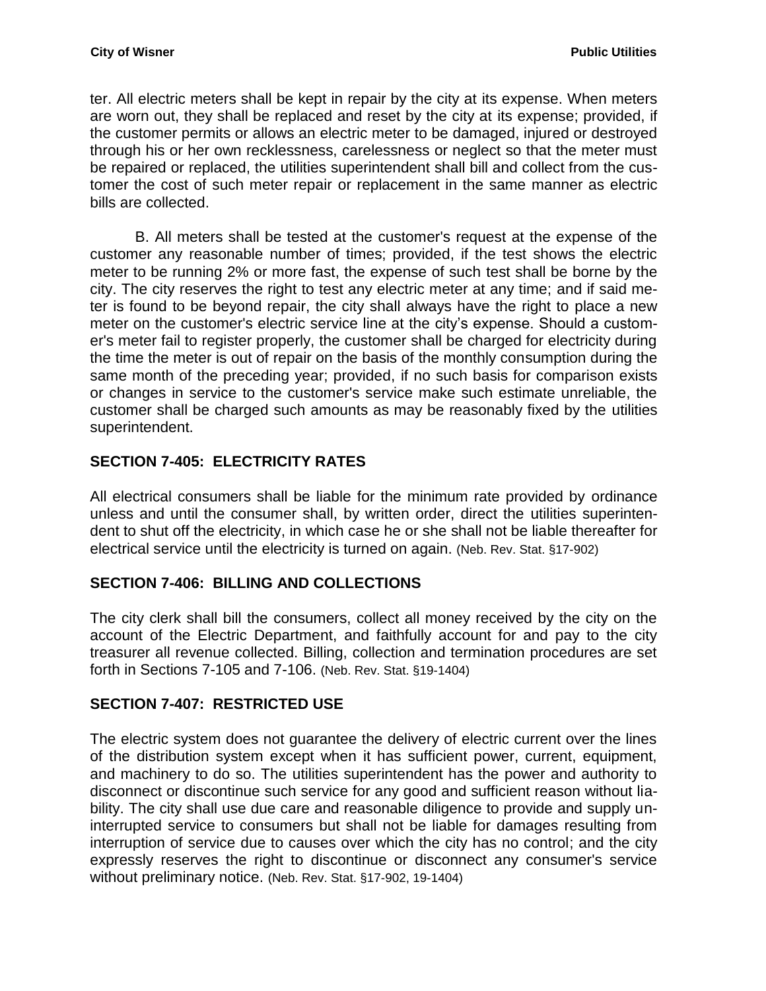ter. All electric meters shall be kept in repair by the city at its expense. When meters are worn out, they shall be replaced and reset by the city at its expense; provided, if the customer permits or allows an electric meter to be damaged, injured or destroyed through his or her own recklessness, carelessness or neglect so that the meter must be repaired or replaced, the utilities superintendent shall bill and collect from the customer the cost of such meter repair or replacement in the same manner as electric bills are collected.

B. All meters shall be tested at the customer's request at the expense of the customer any reasonable number of times; provided, if the test shows the electric meter to be running 2% or more fast, the expense of such test shall be borne by the city. The city reserves the right to test any electric meter at any time; and if said meter is found to be beyond repair, the city shall always have the right to place a new meter on the customer's electric service line at the city's expense. Should a customer's meter fail to register properly, the customer shall be charged for electricity during the time the meter is out of repair on the basis of the monthly consumption during the same month of the preceding year; provided, if no such basis for comparison exists or changes in service to the customer's service make such estimate unreliable, the customer shall be charged such amounts as may be reasonably fixed by the utilities superintendent.

# <span id="page-27-0"></span>**SECTION 7-405: ELECTRICITY RATES**

All electrical consumers shall be liable for the minimum rate provided by ordinance unless and until the consumer shall, by written order, direct the utilities superintendent to shut off the electricity, in which case he or she shall not be liable thereafter for electrical service until the electricity is turned on again. (Neb. Rev. Stat. §17-902)

#### <span id="page-27-1"></span>**SECTION 7-406: BILLING AND COLLECTIONS**

The city clerk shall bill the consumers, collect all money received by the city on the account of the Electric Department, and faithfully account for and pay to the city treasurer all revenue collected. Billing, collection and termination procedures are set forth in Sections 7-105 and 7-106. (Neb. Rev. Stat. §19-1404)

#### <span id="page-27-2"></span>**SECTION 7-407: RESTRICTED USE**

The electric system does not guarantee the delivery of electric current over the lines of the distribution system except when it has sufficient power, current, equipment, and machinery to do so. The utilities superintendent has the power and authority to disconnect or discontinue such service for any good and sufficient reason without liability. The city shall use due care and reasonable diligence to provide and supply uninterrupted service to consumers but shall not be liable for damages resulting from interruption of service due to causes over which the city has no control; and the city expressly reserves the right to discontinue or disconnect any consumer's service without preliminary notice. (Neb. Rev. Stat. §17-902, 19-1404)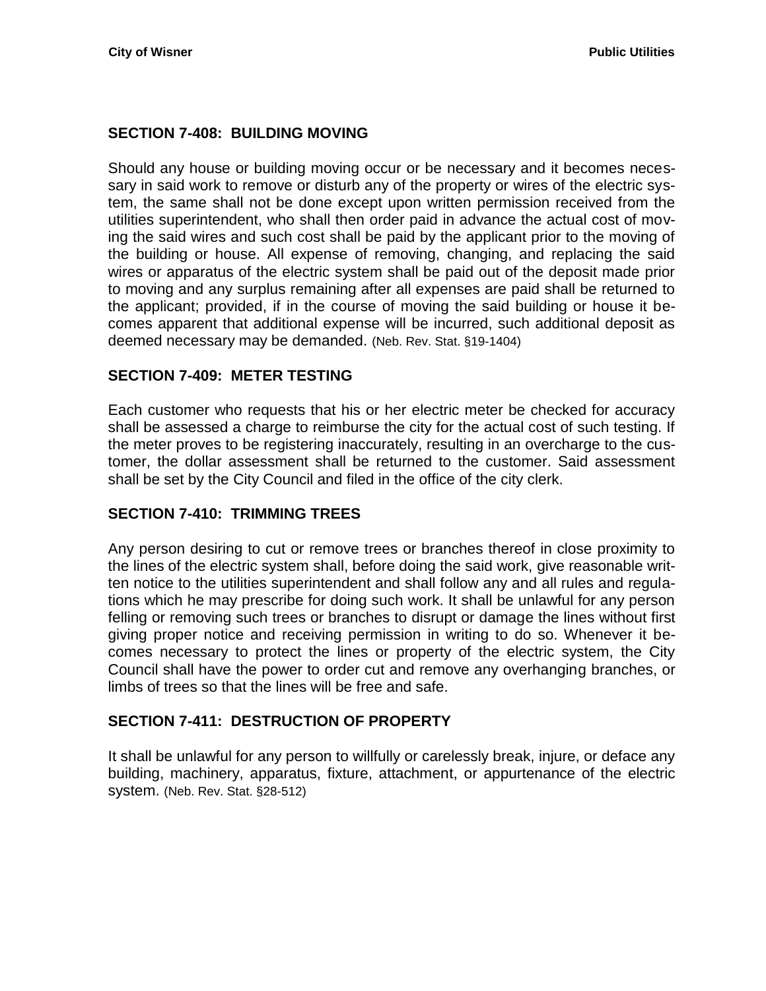#### <span id="page-28-0"></span>**SECTION 7-408: BUILDING MOVING**

Should any house or building moving occur or be necessary and it becomes necessary in said work to remove or disturb any of the property or wires of the electric system, the same shall not be done except upon written permission received from the utilities superintendent, who shall then order paid in advance the actual cost of moving the said wires and such cost shall be paid by the applicant prior to the moving of the building or house. All expense of removing, changing, and replacing the said wires or apparatus of the electric system shall be paid out of the deposit made prior to moving and any surplus remaining after all expenses are paid shall be returned to the applicant; provided, if in the course of moving the said building or house it becomes apparent that additional expense will be incurred, such additional deposit as deemed necessary may be demanded. (Neb. Rev. Stat. §19-1404)

#### <span id="page-28-1"></span>**SECTION 7-409: METER TESTING**

Each customer who requests that his or her electric meter be checked for accuracy shall be assessed a charge to reimburse the city for the actual cost of such testing. If the meter proves to be registering inaccurately, resulting in an overcharge to the customer, the dollar assessment shall be returned to the customer. Said assessment shall be set by the City Council and filed in the office of the city clerk.

#### <span id="page-28-2"></span>**SECTION 7-410: TRIMMING TREES**

Any person desiring to cut or remove trees or branches thereof in close proximity to the lines of the electric system shall, before doing the said work, give reasonable written notice to the utilities superintendent and shall follow any and all rules and regulations which he may prescribe for doing such work. It shall be unlawful for any person felling or removing such trees or branches to disrupt or damage the lines without first giving proper notice and receiving permission in writing to do so. Whenever it becomes necessary to protect the lines or property of the electric system, the City Council shall have the power to order cut and remove any overhanging branches, or limbs of trees so that the lines will be free and safe.

#### <span id="page-28-3"></span>**SECTION 7-411: DESTRUCTION OF PROPERTY**

It shall be unlawful for any person to willfully or carelessly break, injure, or deface any building, machinery, apparatus, fixture, attachment, or appurtenance of the electric system. (Neb. Rev. Stat. §28-512)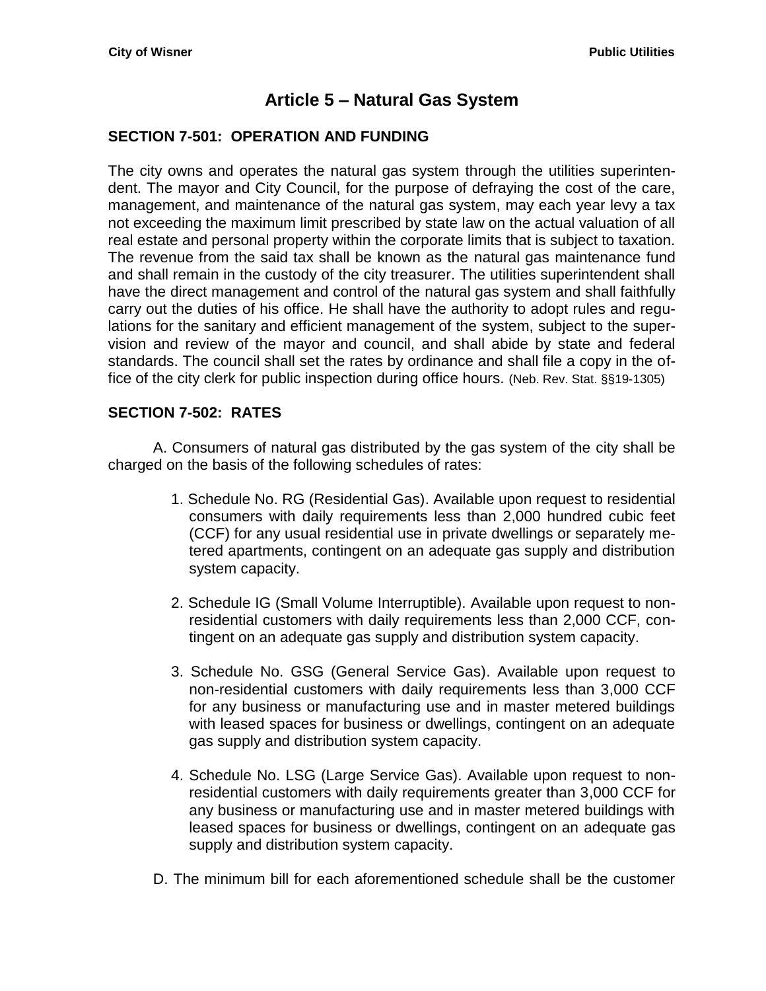# **Article 5 – Natural Gas System**

#### <span id="page-30-1"></span><span id="page-30-0"></span>**SECTION 7-501: OPERATION AND FUNDING**

The city owns and operates the natural gas system through the utilities superintendent. The mayor and City Council, for the purpose of defraying the cost of the care, management, and maintenance of the natural gas system, may each year levy a tax not exceeding the maximum limit prescribed by state law on the actual valuation of all real estate and personal property within the corporate limits that is subject to taxation. The revenue from the said tax shall be known as the natural gas maintenance fund and shall remain in the custody of the city treasurer. The utilities superintendent shall have the direct management and control of the natural gas system and shall faithfully carry out the duties of his office. He shall have the authority to adopt rules and regulations for the sanitary and efficient management of the system, subject to the supervision and review of the mayor and council, and shall abide by state and federal standards. The council shall set the rates by ordinance and shall file a copy in the office of the city clerk for public inspection during office hours. (Neb. Rev. Stat. §§19-1305)

#### <span id="page-30-2"></span>**SECTION 7-502: RATES**

A. Consumers of natural gas distributed by the gas system of the city shall be charged on the basis of the following schedules of rates:

- 1. Schedule No. RG (Residential Gas). Available upon request to residential consumers with daily requirements less than 2,000 hundred cubic feet (CCF) for any usual residential use in private dwellings or separately metered apartments, contingent on an adequate gas supply and distribution system capacity.
- 2. Schedule IG (Small Volume Interruptible). Available upon request to nonresidential customers with daily requirements less than 2,000 CCF, contingent on an adequate gas supply and distribution system capacity.
- 3. Schedule No. GSG (General Service Gas). Available upon request to non-residential customers with daily requirements less than 3,000 CCF for any business or manufacturing use and in master metered buildings with leased spaces for business or dwellings, contingent on an adequate gas supply and distribution system capacity.
- 4. Schedule No. LSG (Large Service Gas). Available upon request to nonresidential customers with daily requirements greater than 3,000 CCF for any business or manufacturing use and in master metered buildings with leased spaces for business or dwellings, contingent on an adequate gas supply and distribution system capacity.
- D. The minimum bill for each aforementioned schedule shall be the customer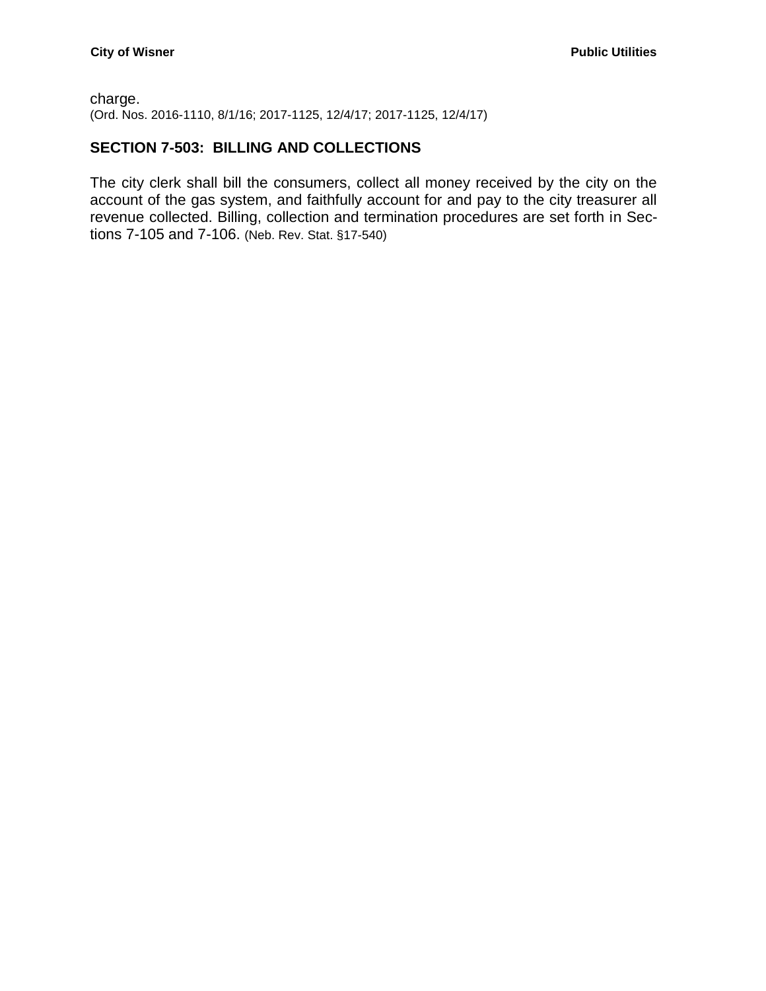#### charge. (Ord. Nos. 2016-1110, 8/1/16; 2017-1125, 12/4/17; 2017-1125, 12/4/17)

### <span id="page-31-0"></span>**SECTION 7-503: BILLING AND COLLECTIONS**

The city clerk shall bill the consumers, collect all money received by the city on the account of the gas system, and faithfully account for and pay to the city treasurer all revenue collected. Billing, collection and termination procedures are set forth in Sections 7-105 and 7-106. (Neb. Rev. Stat. §17-540)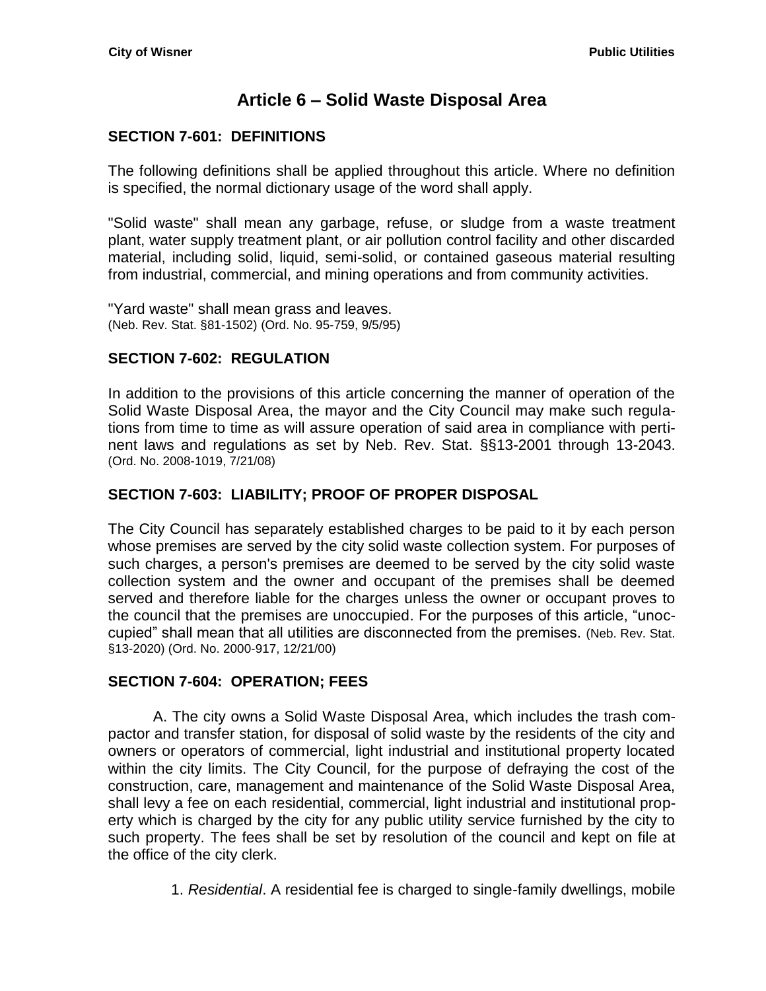# **Article 6 – Solid Waste Disposal Area**

## <span id="page-32-1"></span><span id="page-32-0"></span>**SECTION 7-601: DEFINITIONS**

The following definitions shall be applied throughout this article. Where no definition is specified, the normal dictionary usage of the word shall apply.

"Solid waste" shall mean any garbage, refuse, or sludge from a waste treatment plant, water supply treatment plant, or air pollution control facility and other discarded material, including solid, liquid, semi-solid, or contained gaseous material resulting from industrial, commercial, and mining operations and from community activities.

"Yard waste" shall mean grass and leaves. (Neb. Rev. Stat. §81-1502) (Ord. No. 95-759, 9/5/95)

## <span id="page-32-2"></span>**SECTION 7-602: REGULATION**

In addition to the provisions of this article concerning the manner of operation of the Solid Waste Disposal Area, the mayor and the City Council may make such regulations from time to time as will assure operation of said area in compliance with pertinent laws and regulations as set by Neb. Rev. Stat. §§13-2001 through 13-2043. (Ord. No. 2008-1019, 7/21/08)

## <span id="page-32-3"></span>**SECTION 7-603: LIABILITY; PROOF OF PROPER DISPOSAL**

The City Council has separately established charges to be paid to it by each person whose premises are served by the city solid waste collection system. For purposes of such charges, a person's premises are deemed to be served by the city solid waste collection system and the owner and occupant of the premises shall be deemed served and therefore liable for the charges unless the owner or occupant proves to the council that the premises are unoccupied. For the purposes of this article, "unoccupied" shall mean that all utilities are disconnected from the premises. (Neb. Rev. Stat. §13-2020) (Ord. No. 2000-917, 12/21/00)

#### <span id="page-32-4"></span>**SECTION 7-604: OPERATION; FEES**

A. The city owns a Solid Waste Disposal Area, which includes the trash compactor and transfer station, for disposal of solid waste by the residents of the city and owners or operators of commercial, light industrial and institutional property located within the city limits. The City Council, for the purpose of defraying the cost of the construction, care, management and maintenance of the Solid Waste Disposal Area, shall levy a fee on each residential, commercial, light industrial and institutional property which is charged by the city for any public utility service furnished by the city to such property. The fees shall be set by resolution of the council and kept on file at the office of the city clerk.

1. *Residential*. A residential fee is charged to single-family dwellings, mobile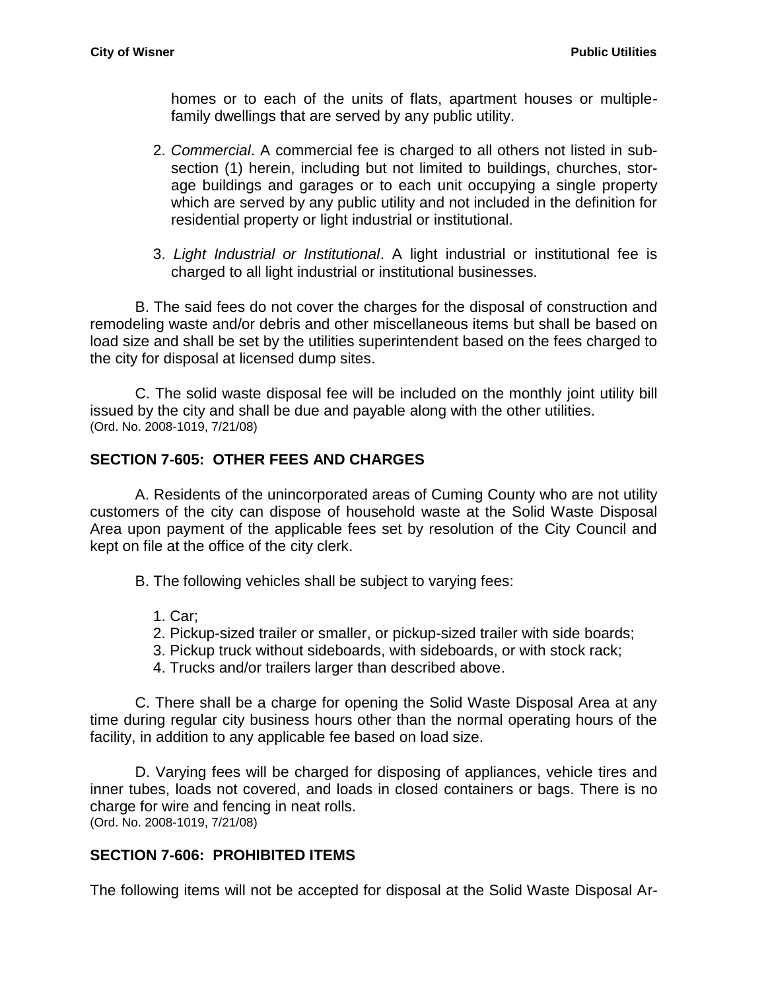homes or to each of the units of flats, apartment houses or multiplefamily dwellings that are served by any public utility.

- 2. *Commercial*. A commercial fee is charged to all others not listed in subsection (1) herein, including but not limited to buildings, churches, storage buildings and garages or to each unit occupying a single property which are served by any public utility and not included in the definition for residential property or light industrial or institutional.
- 3. *Light Industrial or Institutional*. A light industrial or institutional fee is charged to all light industrial or institutional businesses.

B. The said fees do not cover the charges for the disposal of construction and remodeling waste and/or debris and other miscellaneous items but shall be based on load size and shall be set by the utilities superintendent based on the fees charged to the city for disposal at licensed dump sites.

C. The solid waste disposal fee will be included on the monthly joint utility bill issued by the city and shall be due and payable along with the other utilities. (Ord. No. 2008-1019, 7/21/08)

## <span id="page-33-0"></span>**SECTION 7-605: OTHER FEES AND CHARGES**

A. Residents of the unincorporated areas of Cuming County who are not utility customers of the city can dispose of household waste at the Solid Waste Disposal Area upon payment of the applicable fees set by resolution of the City Council and kept on file at the office of the city clerk.

B. The following vehicles shall be subject to varying fees:

- 1. Car;
- 2. Pickup-sized trailer or smaller, or pickup-sized trailer with side boards;
- 3. Pickup truck without sideboards, with sideboards, or with stock rack;
- 4. Trucks and/or trailers larger than described above.

C. There shall be a charge for opening the Solid Waste Disposal Area at any time during regular city business hours other than the normal operating hours of the facility, in addition to any applicable fee based on load size.

D. Varying fees will be charged for disposing of appliances, vehicle tires and inner tubes, loads not covered, and loads in closed containers or bags. There is no charge for wire and fencing in neat rolls. (Ord. No. 2008-1019, 7/21/08)

<span id="page-33-1"></span>**SECTION 7-606: PROHIBITED ITEMS**

The following items will not be accepted for disposal at the Solid Waste Disposal Ar-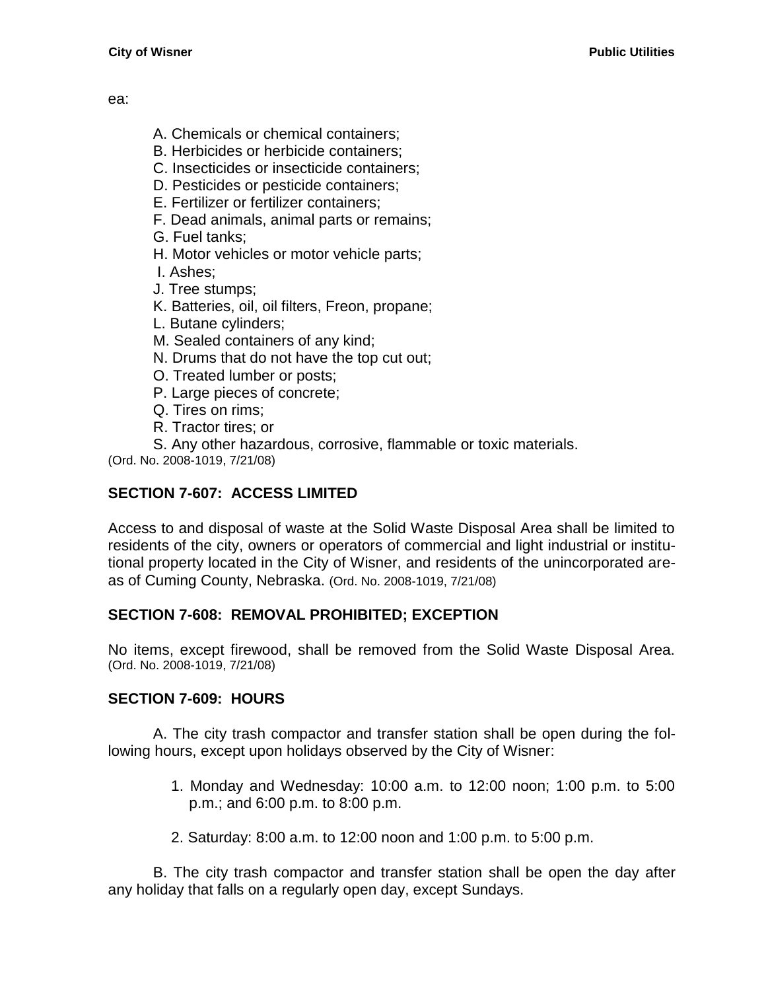ea:

- A. Chemicals or chemical containers;
- B. Herbicides or herbicide containers;
- C. Insecticides or insecticide containers;
- D. Pesticides or pesticide containers;
- E. Fertilizer or fertilizer containers;
- F. Dead animals, animal parts or remains;
- G. Fuel tanks;
- H. Motor vehicles or motor vehicle parts;
- I. Ashes;
- J. Tree stumps;
- K. Batteries, oil, oil filters, Freon, propane;
- L. Butane cylinders;
- M. Sealed containers of any kind;
- N. Drums that do not have the top cut out;
- O. Treated lumber or posts;
- P. Large pieces of concrete;
- Q. Tires on rims;
- R. Tractor tires; or
- S. Any other hazardous, corrosive, flammable or toxic materials.

(Ord. No. 2008-1019, 7/21/08)

# <span id="page-34-0"></span>**SECTION 7-607: ACCESS LIMITED**

Access to and disposal of waste at the Solid Waste Disposal Area shall be limited to residents of the city, owners or operators of commercial and light industrial or institutional property located in the City of Wisner, and residents of the unincorporated areas of Cuming County, Nebraska. (Ord. No. 2008-1019, 7/21/08)

# <span id="page-34-1"></span>**SECTION 7-608: REMOVAL PROHIBITED; EXCEPTION**

No items, except firewood, shall be removed from the Solid Waste Disposal Area. (Ord. No. 2008-1019, 7/21/08)

# <span id="page-34-2"></span>**SECTION 7-609: HOURS**

A. The city trash compactor and transfer station shall be open during the following hours, except upon holidays observed by the City of Wisner:

- 1. Monday and Wednesday: 10:00 a.m. to 12:00 noon; 1:00 p.m. to 5:00 p.m.; and 6:00 p.m. to 8:00 p.m.
- 2. Saturday: 8:00 a.m. to 12:00 noon and 1:00 p.m. to 5:00 p.m.

B. The city trash compactor and transfer station shall be open the day after any holiday that falls on a regularly open day, except Sundays.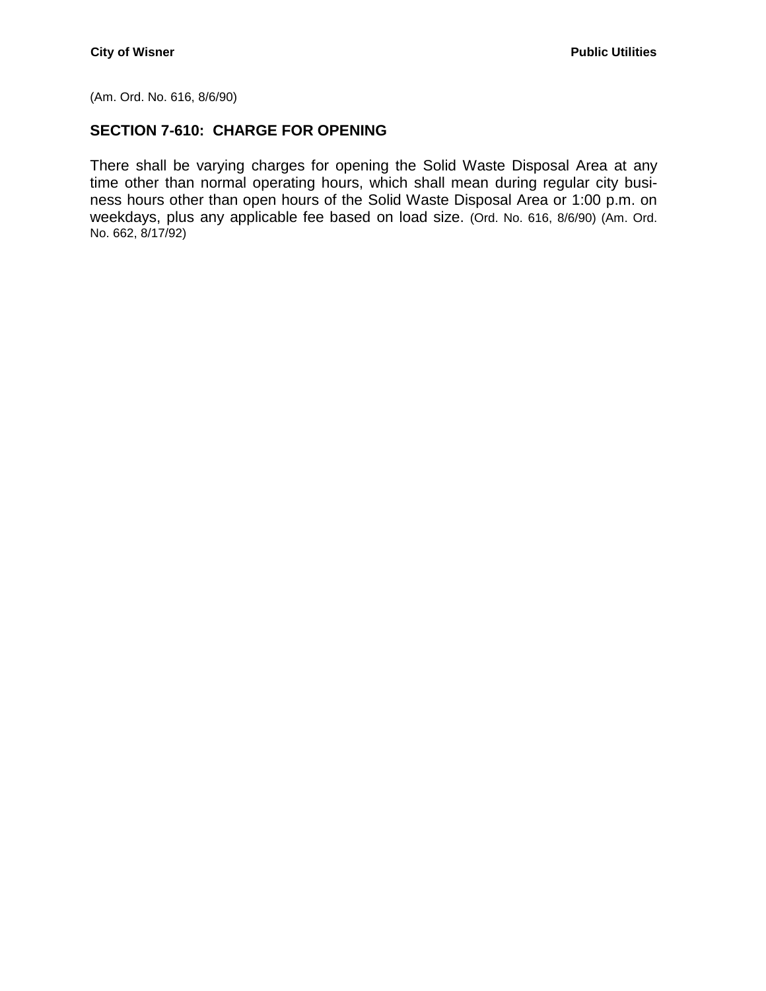(Am. Ord. No. 616, 8/6/90)

### <span id="page-35-0"></span>**SECTION 7-610: CHARGE FOR OPENING**

There shall be varying charges for opening the Solid Waste Disposal Area at any time other than normal operating hours, which shall mean during regular city business hours other than open hours of the Solid Waste Disposal Area or 1:00 p.m. on weekdays, plus any applicable fee based on load size. (Ord. No. 616, 8/6/90) (Am. Ord. No. 662, 8/17/92)